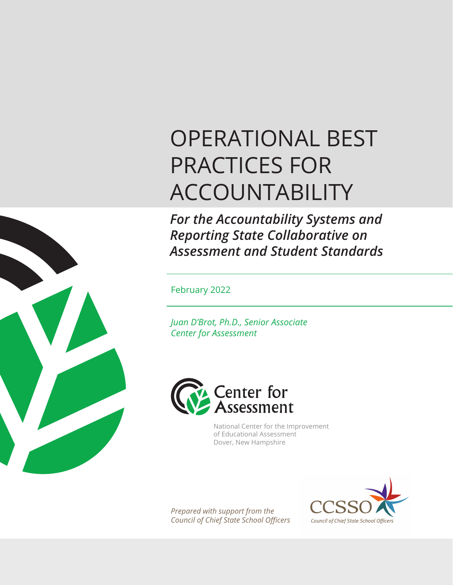# OPERATIONAL BEST PRACTICES FOR ACCOUNTABILITY

*For the Accountability Systems and Reporting State Collaborative on Assessment and Student Standards*

February 2022

*Juan D'Brot, Ph.D., Senior Associate Center for Assessment*



National Center for the Improvement of Educational Assessment Dover, New Hampshire

*Prepared with support from the Council of Chief State School Officers* 



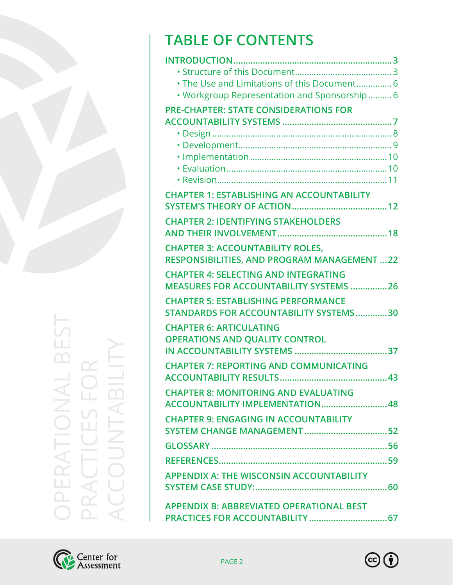## **TABLE OF CONTENTS**

| • The Use and Limitations of this Document 6<br>. Workgroup Representation and Sponsorship 6<br><b>PRE-CHAPTER: STATE CONSIDERATIONS FOR</b> |
|----------------------------------------------------------------------------------------------------------------------------------------------|
|                                                                                                                                              |
| <b>CHAPTER 1: ESTABLISHING AN ACCOUNTABILITY</b>                                                                                             |
| <b>CHAPTER 2: IDENTIFYING STAKEHOLDERS</b>                                                                                                   |
| <b>CHAPTER 3: ACCOUNTABILITY ROLES,</b><br>RESPONSIBILITIES, AND PROGRAM MANAGEMENT  22                                                      |
| <b>CHAPTER 4: SELECTING AND INTEGRATING</b><br>MEASURES FOR ACCOUNTABILITY SYSTEMS 26                                                        |
| <b>CHAPTER 5: ESTABLISHING PERFORMANCE</b><br><b>STANDARDS FOR ACCOUNTABILITY SYSTEMS30</b>                                                  |
| <b>CHAPTER 6: ARTICULATING</b><br>OPERATIONS AND QUALITY CONTROL                                                                             |
| <b>CHAPTER 7: REPORTING AND COMMUNICATING</b>                                                                                                |
| <b>CHAPTER 8: MONITORING AND EVALUATING</b><br>ACCOUNTABILITY IMPLEMENTATION 48                                                              |
| <b>CHAPTER 9: ENGAGING IN ACCOUNTABILITY</b>                                                                                                 |
|                                                                                                                                              |
|                                                                                                                                              |
| <b>APPENDIX A: THE WISCONSIN ACCOUNTABILITY</b>                                                                                              |
| <b>APPENDIX B: ABBREVIATED OPERATIONAL BEST</b>                                                                                              |

OPERATIONAL BEST OPERATIONAL BEST<br>PRACTICES FOR<br>ACCOUNTABILITY ACCOUNTABILITY PRACTICES FOR



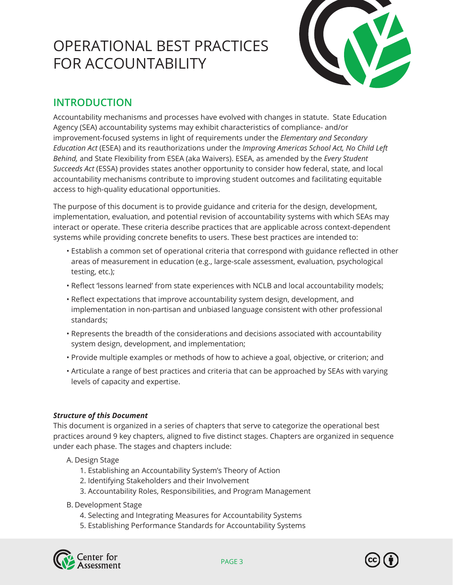## <span id="page-2-0"></span>OPERATIONAL BEST PRACTICES FOR ACCOUNTABILITY



## **INTRODUCTION**

Accountability mechanisms and processes have evolved with changes in statute. State Education Agency (SEA) accountability systems may exhibit characteristics of compliance- and/or improvement-focused systems in light of requirements under the *Elementary and Secondary Education Act* (ESEA) and its reauthorizations under the *Improving Americas School Act, No Child Left Behind,* and State Flexibility from ESEA (aka Waivers). ESEA, as amended by the *Every Student Succeeds Act* (ESSA) provides states another opportunity to consider how federal, state, and local accountability mechanisms contribute to improving student outcomes and facilitating equitable access to high-quality educational opportunities.

The purpose of this document is to provide guidance and criteria for the design, development, implementation, evaluation, and potential revision of accountability systems with which SEAs may interact or operate. These criteria describe practices that are applicable across context-dependent systems while providing concrete benefits to users. These best practices are intended to:

- Establish a common set of operational criteria that correspond with guidance reflected in other areas of measurement in education (e.g., large-scale assessment, evaluation, psychological testing, etc.);
- Reflect 'lessons learned' from state experiences with NCLB and local accountability models;
- Reflect expectations that improve accountability system design, development, and implementation in non-partisan and unbiased language consistent with other professional standards;
- Represents the breadth of the considerations and decisions associated with accountability system design, development, and implementation;
- Provide multiple examples or methods of how to achieve a goal, objective, or criterion; and
- Articulate a range of best practices and criteria that can be approached by SEAs with varying levels of capacity and expertise.

#### *Structure of this Document*

This document is organized in a series of chapters that serve to categorize the operational best practices around 9 key chapters, aligned to five distinct stages. Chapters are organized in sequence under each phase. The stages and chapters include:

#### A. Design Stage

- 1. Establishing an Accountability System's Theory of Action
- 2. Identifying Stakeholders and their Involvement
- 3. Accountability Roles, Responsibilities, and Program Management
- B. Development Stage
	- 4. Selecting and Integrating Measures for Accountability Systems
	- 5. Establishing Performance Standards for Accountability Systems



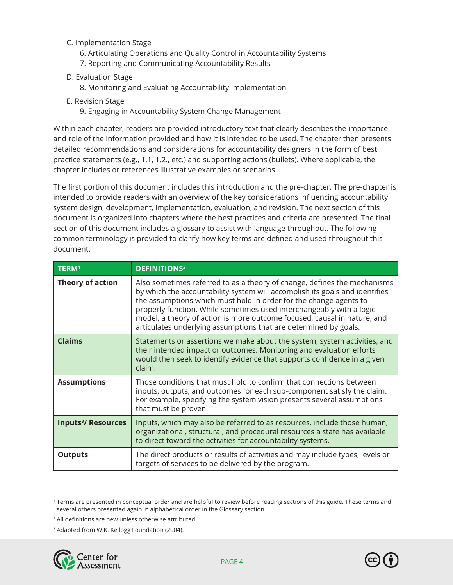#### C. Implementation Stage

- 6. Articulating Operations and Quality Control in Accountability Systems
- 7. Reporting and Communicating Accountability Results
- D. Evaluation Stage
	- 8. Monitoring and Evaluating Accountability Implementation
- E. Revision Stage
	- 9. Engaging in Accountability System Change Management

Within each chapter, readers are provided introductory text that clearly describes the importance and role of the information provided and how it is intended to be used. The chapter then presents detailed recommendations and considerations for accountability designers in the form of best practice statements (e.g., 1.1, 1.2., etc.) and supporting actions (bullets). Where applicable, the chapter includes or references illustrative examples or scenarios.

The first portion of this document includes this introduction and the pre-chapter. The pre-chapter is intended to provide readers with an overview of the key considerations influencing accountability system design, development, implementation, evaluation, and revision. The next section of this document is organized into chapters where the best practices and criteria are presented. The final section of this document includes a glossary to assist with language throughout. The following common terminology is provided to clarify how key terms are defined and used throughout this document.

| TERM <sup>1</sup>                    | <b>DEFINITIONS<sup>2</sup></b>                                                                                                                                                                                                                                                                                                                                                                                                                       |
|--------------------------------------|------------------------------------------------------------------------------------------------------------------------------------------------------------------------------------------------------------------------------------------------------------------------------------------------------------------------------------------------------------------------------------------------------------------------------------------------------|
| Theory of action                     | Also sometimes referred to as a theory of change, defines the mechanisms<br>by which the accountability system will accomplish its goals and identifies<br>the assumptions which must hold in order for the change agents to<br>properly function. While sometimes used interchangeably with a logic<br>model, a theory of action is more outcome focused, causal in nature, and<br>articulates underlying assumptions that are determined by goals. |
| <b>Claims</b>                        | Statements or assertions we make about the system, system activities, and<br>their intended impact or outcomes. Monitoring and evaluation efforts<br>would then seek to identify evidence that supports confidence in a given<br>claim.                                                                                                                                                                                                              |
| <b>Assumptions</b>                   | Those conditions that must hold to confirm that connections between<br>inputs, outputs, and outcomes for each sub-component satisfy the claim.<br>For example, specifying the system vision presents several assumptions<br>that must be proven.                                                                                                                                                                                                     |
| <b>Inputs<sup>3</sup>/ Resources</b> | Inputs, which may also be referred to as resources, include those human,<br>organizational, structural, and procedural resources a state has available<br>to direct toward the activities for accountability systems.                                                                                                                                                                                                                                |
| <b>Outputs</b>                       | The direct products or results of activities and may include types, levels or<br>targets of services to be delivered by the program.                                                                                                                                                                                                                                                                                                                 |

<sup>1</sup> Terms are presented in conceptual order and are helpful to review before reading sections of this guide. These terms and several others presented again in alphabetical order in the Glossary section.

<sup>3</sup> Adapted from W.K. Kellogg Foundation (2004).





<sup>2</sup> All definitions are new unless otherwise attributed.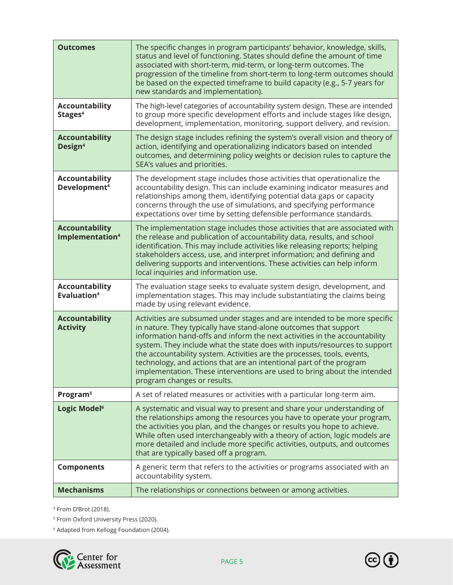| <b>Outcomes</b>                                      | The specific changes in program participants' behavior, knowledge, skills,<br>status and level of functioning. States should define the amount of time<br>associated with short-term, mid-term, or long-term outcomes. The<br>progression of the timeline from short-term to long-term outcomes should<br>be based on the expected timeframe to build capacity (e.g., 5-7 years for<br>new standards and implementation).                                                                                                                                             |
|------------------------------------------------------|-----------------------------------------------------------------------------------------------------------------------------------------------------------------------------------------------------------------------------------------------------------------------------------------------------------------------------------------------------------------------------------------------------------------------------------------------------------------------------------------------------------------------------------------------------------------------|
| <b>Accountability</b><br>Stages <sup>4</sup>         | The high-level categories of accountability system design. These are intended<br>to group more specific development efforts and include stages like design,<br>development, implementation, monitoring, support delivery, and revision.                                                                                                                                                                                                                                                                                                                               |
| <b>Accountability</b><br>Design <sup>4</sup>         | The design stage includes refining the system's overall vision and theory of<br>action, identifying and operationalizing indicators based on intended<br>outcomes, and determining policy weights or decision rules to capture the<br>SEA's values and priorities.                                                                                                                                                                                                                                                                                                    |
| Accountability<br>Development <sup>4</sup>           | The development stage includes those activities that operationalize the<br>accountability design. This can include examining indicator measures and<br>relationships among them, identifying potential data gaps or capacity<br>concerns through the use of simulations, and specifying performance<br>expectations over time by setting defensible performance standards.                                                                                                                                                                                            |
| <b>Accountability</b><br>Implementation <sup>4</sup> | The implementation stage includes those activities that are associated with<br>the release and publication of accountability data, results, and school<br>identification. This may include activities like releasing reports; helping<br>stakeholders access, use, and interpret information; and defining and<br>delivering supports and interventions. These activities can help inform<br>local inquiries and information use.                                                                                                                                     |
| <b>Accountability</b><br>Evaluation <sup>4</sup>     | The evaluation stage seeks to evaluate system design, development, and<br>implementation stages. This may include substantiating the claims being<br>made by using relevant evidence.                                                                                                                                                                                                                                                                                                                                                                                 |
| <b>Accountability</b><br><b>Activity</b>             | Activities are subsumed under stages and are intended to be more specific<br>in nature. They typically have stand-alone outcomes that support<br>information hand-offs and inform the next activities in the accountability<br>system. They include what the state does with inputs/resources to support<br>the accountability system. Activities are the processes, tools, events,<br>technology, and actions that are an intentional part of the program<br>implementation. These interventions are used to bring about the intended<br>program changes or results. |
| Program <sup>5</sup>                                 | A set of related measures or activities with a particular long-term aim.                                                                                                                                                                                                                                                                                                                                                                                                                                                                                              |
| Logic Model <sup>6</sup>                             | A systematic and visual way to present and share your understanding of<br>the relationships among the resources you have to operate your program,<br>the activities you plan, and the changes or results you hope to achieve.<br>While often used interchangeably with a theory of action, logic models are<br>more detailed and include more specific activities, outputs, and outcomes<br>that are typically based off a program.                                                                                                                                   |
| <b>Components</b>                                    | A generic term that refers to the activities or programs associated with an<br>accountability system.                                                                                                                                                                                                                                                                                                                                                                                                                                                                 |
| <b>Mechanisms</b>                                    | The relationships or connections between or among activities.                                                                                                                                                                                                                                                                                                                                                                                                                                                                                                         |

<sup>4</sup> From D'Brot (2018).

<sup>5</sup> From Oxford University Press (2020).

6 Adapted from Kellogg Foundation (2004).

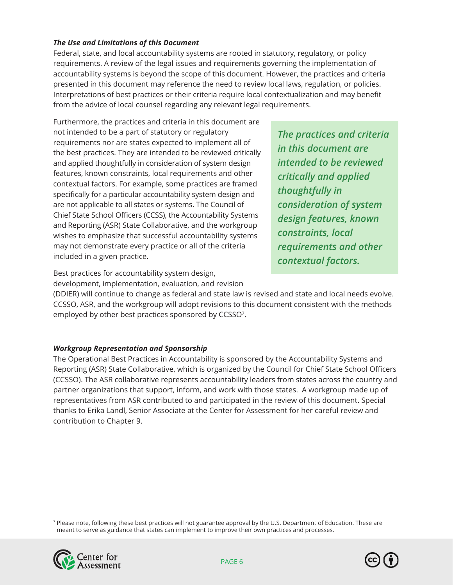#### <span id="page-5-0"></span>*The Use and Limitations of this Document*

Federal, state, and local accountability systems are rooted in statutory, regulatory, or policy requirements. A review of the legal issues and requirements governing the implementation of accountability systems is beyond the scope of this document. However, the practices and criteria presented in this document may reference the need to review local laws, regulation, or policies. Interpretations of best practices or their criteria require local contextualization and may benefit from the advice of local counsel regarding any relevant legal requirements.

Furthermore, the practices and criteria in this document are not intended to be a part of statutory or regulatory requirements nor are states expected to implement all of the best practices. They are intended to be reviewed critically and applied thoughtfully in consideration of system design features, known constraints, local requirements and other contextual factors. For example, some practices are framed specifically for a particular accountability system design and are not applicable to all states or systems. The Council of Chief State School Officers (CCSS), the Accountability Systems and Reporting (ASR) State Collaborative, and the workgroup wishes to emphasize that successful accountability systems may not demonstrate every practice or all of the criteria included in a given practice.

*The practices and criteria in this document are intended to be reviewed critically and applied thoughtfully in consideration of system design features, known constraints, local requirements and other contextual factors.*

Best practices for accountability system design,

development, implementation, evaluation, and revision

(DDIER) will continue to change as federal and state law is revised and state and local needs evolve. CCSSO, ASR, and the workgroup will adopt revisions to this document consistent with the methods employed by other best practices sponsored by CCSSO7.

#### *Workgroup Representation and Sponsorship*

The Operational Best Practices in Accountability is sponsored by the Accountability Systems and Reporting (ASR) State Collaborative, which is organized by the Council for Chief State School Officers (CCSSO). The ASR collaborative represents accountability leaders from states across the country and partner organizations that support, inform, and work with those states. A workgroup made up of representatives from ASR contributed to and participated in the review of this document. Special thanks to Erika Landl, Senior Associate at the Center for Assessment for her careful review and contribution to Chapter 9.

<sup>7</sup> Please note, following these best practices will not guarantee approval by the U.S. Department of Education. These are meant to serve as guidance that states can implement to improve their own practices and processes.



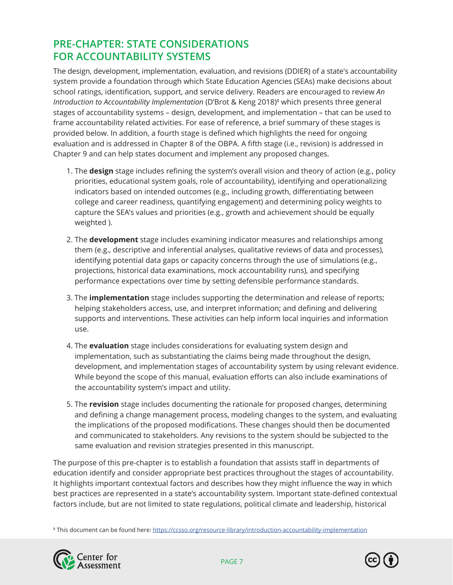## <span id="page-6-0"></span>**PRE-CHAPTER: STATE CONSIDERATIONS FOR ACCOUNTABILITY SYSTEMS**

The design, development, implementation, evaluation, and revisions (DDIER) of a state's accountability system provide a foundation through which State Education Agencies (SEAs) make decisions about school ratings, identification, support, and service delivery. Readers are encouraged to review *An Introduction to Accountability Implementation* (D'Brot & Keng 2018)<sup>8</sup> which presents three general stages of accountability systems – design, development, and implementation – that can be used to frame accountability related activities. For ease of reference, a brief summary of these stages is provided below. In addition, a fourth stage is defined which highlights the need for ongoing evaluation and is addressed in Chapter 8 of the OBPA. A fifth stage (i.e., revision) is addressed in Chapter 9 and can help states document and implement any proposed changes.

- 1. The **design** stage includes refining the system's overall vision and theory of action (e.g., policy priorities, educational system goals, role of accountability), identifying and operationalizing indicators based on intended outcomes (e.g., including growth, differentiating between college and career readiness, quantifying engagement) and determining policy weights to capture the SEA's values and priorities (e.g., growth and achievement should be equally weighted ).
- 2. The **development** stage includes examining indicator measures and relationships among them (e.g., descriptive and inferential analyses, qualitative reviews of data and processes), identifying potential data gaps or capacity concerns through the use of simulations (e.g., projections, historical data examinations, mock accountability runs), and specifying performance expectations over time by setting defensible performance standards.
- 3. The **implementation** stage includes supporting the determination and release of reports; helping stakeholders access, use, and interpret information; and defining and delivering supports and interventions. These activities can help inform local inquiries and information use.
- 4. The **evaluation** stage includes considerations for evaluating system design and implementation, such as substantiating the claims being made throughout the design, development, and implementation stages of accountability system by using relevant evidence. While beyond the scope of this manual, evaluation efforts can also include examinations of the accountability system's impact and utility.
- 5. The **revision** stage includes documenting the rationale for proposed changes, determining and defining a change management process, modeling changes to the system, and evaluating the implications of the proposed modifications. These changes should then be documented and communicated to stakeholders. Any revisions to the system should be subjected to the same evaluation and revision strategies presented in this manuscript.

The purpose of this pre-chapter is to establish a foundation that assists staff in departments of education identify and consider appropriate best practices throughout the stages of accountability. It highlights important contextual factors and describes how they might influence the way in which best practices are represented in a state's accountability system. Important state-defined contextual factors include, but are not limited to state regulations, political climate and leadership, historical

<sup>8</sup> This document can be found here: <https://ccsso.org/resource-library/introduction-accountability-implementation>



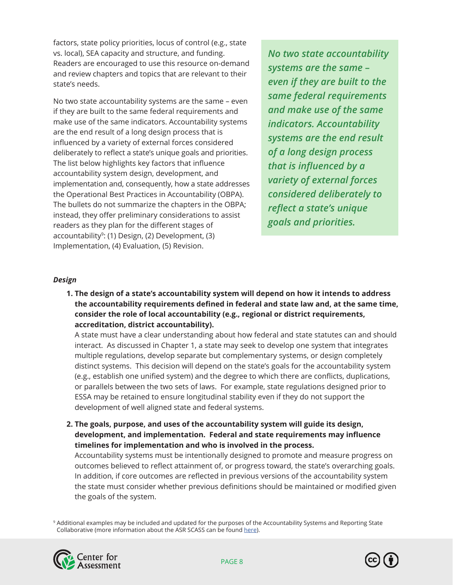<span id="page-7-0"></span>factors, state policy priorities, locus of control (e.g., state vs. local), SEA capacity and structure, and funding. Readers are encouraged to use this resource on-demand and review chapters and topics that are relevant to their state's needs.

No two state accountability systems are the same – even if they are built to the same federal requirements and make use of the same indicators. Accountability systems are the end result of a long design process that is influenced by a variety of external forces considered deliberately to reflect a state's unique goals and priorities. The list below highlights key factors that influence accountability system design, development, and implementation and, consequently, how a state addresses the Operational Best Practices in Accountability (OBPA). The bullets do not summarize the chapters in the OBPA; instead, they offer preliminary considerations to assist readers as they plan for the different stages of accountability<sup>9</sup>: (1) Design, (2) Development, (3) Implementation, (4) Evaluation, (5) Revision.

*No two state accountability systems are the same – even if they are built to the same federal requirements and make use of the same indicators. Accountability systems are the end result of a long design process that is influenced by a variety of external forces considered deliberately to reflect a state's unique goals and priorities.* 

#### *Design*

**1. The design of a state's accountability system will depend on how it intends to address the accountability requirements defined in federal and state law and, at the same time, consider the role of local accountability (e.g., regional or district requirements, accreditation, district accountability).**

A state must have a clear understanding about how federal and state statutes can and should interact. As discussed in Chapter 1, a state may seek to develop one system that integrates multiple regulations, develop separate but complementary systems, or design completely distinct systems. This decision will depend on the state's goals for the accountability system (e.g., establish one unified system) and the degree to which there are conflicts, duplications, or parallels between the two sets of laws. For example, state regulations designed prior to ESSA may be retained to ensure longitudinal stability even if they do not support the development of well aligned state and federal systems.

**2. The goals, purpose, and uses of the accountability system will guide its design, development, and implementation. Federal and state requirements may influence timelines for implementation and who is involved in the process.** 

Accountability systems must be intentionally designed to promote and measure progress on outcomes believed to reflect attainment of, or progress toward, the state's overarching goals. In addition, if core outcomes are reflected in previous versions of the accountability system the state must consider whether previous definitions should be maintained or modified given the goals of the system.

9 Additional examples may be included and updated for the purposes of the Accountability Systems and Reporting State Collaborative (more information about the ASR SCASS can be found [here](https://ccsso.org/resource-library/accountability-systems-and-reporting-asr#:~:text=In%20this%20context%2C%20the%20more,of%20state%20education%20accountability%20models.)).



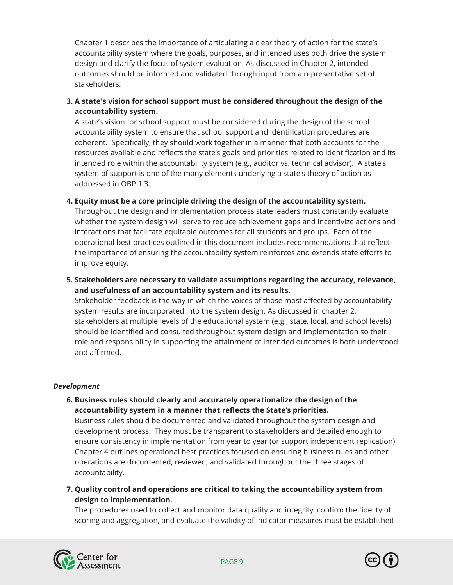<span id="page-8-0"></span>Chapter 1 describes the importance of articulating a clear theory of action for the state's accountability system where the goals, purposes, and intended uses both drive the system design and clarify the focus of system evaluation. As discussed in Chapter 2, intended outcomes should be informed and validated through input from a representative set of stakeholders.

**3. A state's vision for school support must be considered throughout the design of the accountability system.**

A state's vision for school support must be considered during the design of the school accountability system to ensure that school support and identification procedures are coherent. Specifically, they should work together in a manner that both accounts for the resources available and reflects the state's goals and priorities related to identification and its intended role within the accountability system (e.g., auditor vs. technical advisor). A state's system of support is one of the many elements underlying a state's theory of action as addressed in OBP 1.3.

**4. Equity must be a core principle driving the design of the accountability system.** 

Throughout the design and implementation process state leaders must constantly evaluate whether the system design will serve to reduce achievement gaps and incentivize actions and interactions that facilitate equitable outcomes for all students and groups. Each of the operational best practices outlined in this document includes recommendations that reflect the importance of ensuring the accountability system reinforces and extends state efforts to improve equity.

**5. Stakeholders are necessary to validate assumptions regarding the accuracy, relevance, and usefulness of an accountability system and its results.** 

Stakeholder feedback is the way in which the voices of those most affected by accountability system results are incorporated into the system design. As discussed in chapter 2, stakeholders at multiple levels of the educational system (e.g., state, local, and school levels) should be identified and consulted throughout system design and implementation so their role and responsibility in supporting the attainment of intended outcomes is both understood and affirmed.

#### *Development*

**6. Business rules should clearly and accurately operationalize the design of the accountability system in a manner that reflects the State's priorities.**

Business rules should be documented and validated throughout the system design and development process. They must be transparent to stakeholders and detailed enough to ensure consistency in implementation from year to year (or support independent replication). Chapter 4 outlines operational best practices focused on ensuring business rules and other operations are documented, reviewed, and validated throughout the three stages of accountability.

**7. Quality control and operations are critical to taking the accountability system from design to implementation.** 

The procedures used to collect and monitor data quality and integrity, confirm the fidelity of scoring and aggregation, and evaluate the validity of indicator measures must be established



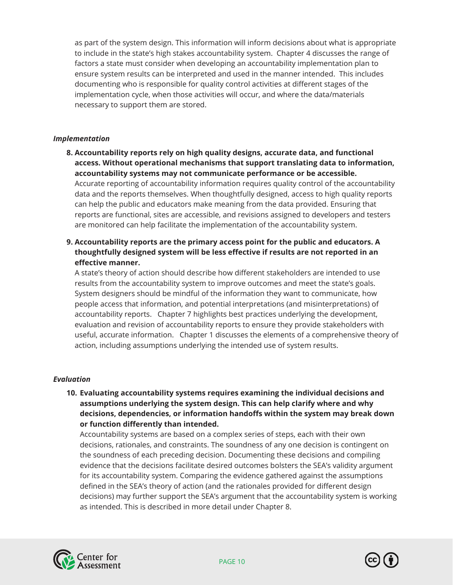<span id="page-9-0"></span>as part of the system design. This information will inform decisions about what is appropriate to include in the state's high stakes accountability system. Chapter 4 discusses the range of factors a state must consider when developing an accountability implementation plan to ensure system results can be interpreted and used in the manner intended. This includes documenting who is responsible for quality control activities at different stages of the implementation cycle, when those activities will occur, and where the data/materials necessary to support them are stored.

#### *Implementation*

- **8. Accountability reports rely on high quality designs, accurate data, and functional access. Without operational mechanisms that support translating data to information, accountability systems may not communicate performance or be accessible.** Accurate reporting of accountability information requires quality control of the accountability data and the reports themselves. When thoughtfully designed, access to high quality reports can help the public and educators make meaning from the data provided. Ensuring that reports are functional, sites are accessible, and revisions assigned to developers and testers are monitored can help facilitate the implementation of the accountability system.
- **9. Accountability reports are the primary access point for the public and educators. A thoughtfully designed system will be less effective if results are not reported in an effective manner.**

A state's theory of action should describe how different stakeholders are intended to use results from the accountability system to improve outcomes and meet the state's goals. System designers should be mindful of the information they want to communicate, how people access that information, and potential interpretations (and misinterpretations) of accountability reports. Chapter 7 highlights best practices underlying the development, evaluation and revision of accountability reports to ensure they provide stakeholders with useful, accurate information. Chapter 1 discusses the elements of a comprehensive theory of action, including assumptions underlying the intended use of system results.

#### *Evaluation*

**10. Evaluating accountability systems requires examining the individual decisions and assumptions underlying the system design. This can help clarify where and why decisions, dependencies, or information handoffs within the system may break down or function differently than intended.**

Accountability systems are based on a complex series of steps, each with their own decisions, rationales, and constraints. The soundness of any one decision is contingent on the soundness of each preceding decision. Documenting these decisions and compiling evidence that the decisions facilitate desired outcomes bolsters the SEA's validity argument for its accountability system. Comparing the evidence gathered against the assumptions defined in the SEA's theory of action (and the rationales provided for different design decisions) may further support the SEA's argument that the accountability system is working as intended. This is described in more detail under Chapter 8.



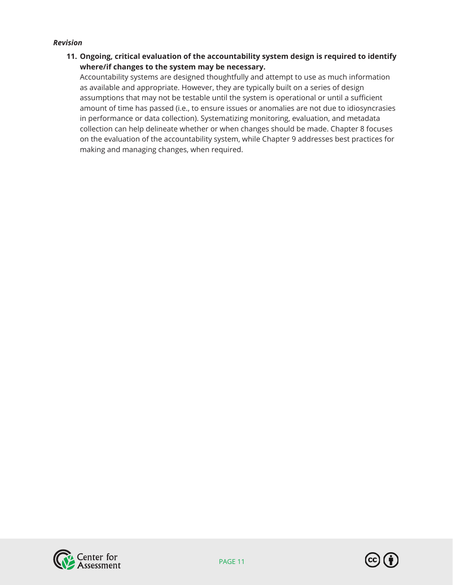#### <span id="page-10-0"></span>*Revision*

**11. Ongoing, critical evaluation of the accountability system design is required to identify where/if changes to the system may be necessary.**

Accountability systems are designed thoughtfully and attempt to use as much information as available and appropriate. However, they are typically built on a series of design assumptions that may not be testable until the system is operational or until a sufficient amount of time has passed (i.e., to ensure issues or anomalies are not due to idiosyncrasies in performance or data collection). Systematizing monitoring, evaluation, and metadata collection can help delineate whether or when changes should be made. Chapter 8 focuses on the evaluation of the accountability system, while Chapter 9 addresses best practices for making and managing changes, when required.



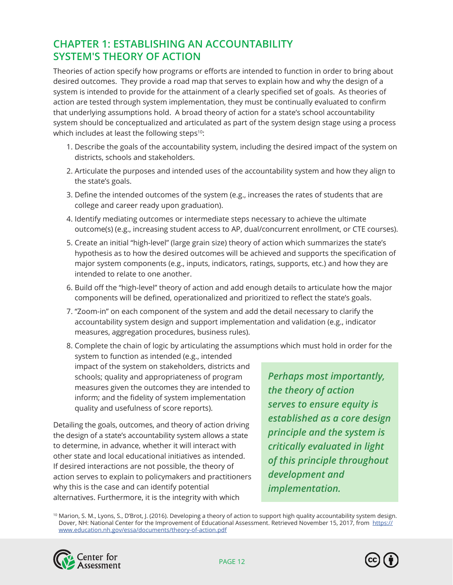## <span id="page-11-0"></span>**CHAPTER 1: ESTABLISHING AN ACCOUNTABILITY SYSTEM'S THEORY OF ACTION**

Theories of action specify how programs or efforts are intended to function in order to bring about desired outcomes. They provide a road map that serves to explain how and why the design of a system is intended to provide for the attainment of a clearly specified set of goals. As theories of action are tested through system implementation, they must be continually evaluated to confirm that underlying assumptions hold. A broad theory of action for a state's school accountability system should be conceptualized and articulated as part of the system design stage using a process which includes at least the following steps<sup>10</sup>:

- 1. Describe the goals of the accountability system, including the desired impact of the system on districts, schools and stakeholders.
- 2. Articulate the purposes and intended uses of the accountability system and how they align to the state's goals.
- 3. Define the intended outcomes of the system (e.g., increases the rates of students that are college and career ready upon graduation).
- 4. Identify mediating outcomes or intermediate steps necessary to achieve the ultimate outcome(s) (e.g., increasing student access to AP, dual/concurrent enrollment, or CTE courses).
- 5. Create an initial "high-level" (large grain size) theory of action which summarizes the state's hypothesis as to how the desired outcomes will be achieved and supports the specification of major system components (e.g., inputs, indicators, ratings, supports, etc.) and how they are intended to relate to one another.
- 6. Build off the "high-level" theory of action and add enough details to articulate how the major components will be defined, operationalized and prioritized to reflect the state's goals.
- 7. "Zoom-in" on each component of the system and add the detail necessary to clarify the accountability system design and support implementation and validation (e.g., indicator measures, aggregation procedures, business rules).

8. Complete the chain of logic by articulating the assumptions which must hold in order for the system to function as intended (e.g., intended impact of the system on stakeholders, districts and schools; quality and appropriateness of program measures given the outcomes they are intended to inform; and the fidelity of system implementation quality and usefulness of score reports). *Perhaps most importantly, the theory of action serves to ensure equity is* 

Detailing the goals, outcomes, and theory of action driving the design of a state's accountability system allows a state to determine, in advance, whether it will interact with other state and local educational initiatives as intended. If desired interactions are not possible, the theory of action serves to explain to policymakers and practitioners why this is the case and can identify potential alternatives. Furthermore, it is the integrity with which

*established as a core design principle and the system is critically evaluated in light of this principle throughout development and implementation.* 

<sup>10</sup> Marion, S. M., Lyons, S., D'Brot, J. (2016). Developing a theory of action to support high quality accountability system design. Dover, NH: National Center for the Improvement of Educational Assessment. Retrieved November 15, 2017, from [https://](https://www.education.nh.gov/essa/documents/theory-of-action.pdf) [www.education.nh.gov/essa/documents/theory-of-action.pdf](https://www.education.nh.gov/essa/documents/theory-of-action.pdf)



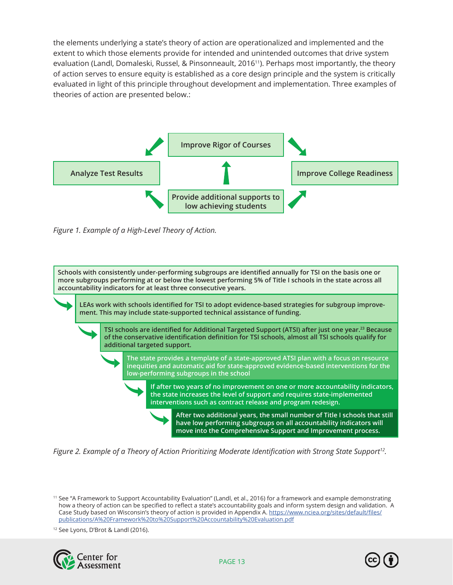the elements underlying a state's theory of action are operationalized and implemented and the extent to which those elements provide for intended and unintended outcomes that drive system evaluation (Landl, Domaleski, Russel, & Pinsonneault, 201611). Perhaps most importantly, the theory of action serves to ensure equity is established as a core design principle and the system is critically evaluated in light of this principle throughout development and implementation. Three examples of theories of action are presented below.:



*Figure 1. Example of a High-Level Theory of Action.*



*Figure 2. Example of a Theory of Action Prioritizing Moderate Identification with Strong State Support12.*

<sup>12</sup> See Lyons, D'Brot & Landl (2016).





<sup>11</sup> See "A Framework to Support Accountability Evaluation" (Landl, et al., 2016) for a framework and example demonstrating how a theory of action can be specified to reflect a state's accountability goals and inform system design and validation. A Case Study based on Wisconsin's theory of action is provided in Appendix A. [https://www.nciea.org/sites/default/files/](https://www.nciea.org/sites/default/files/publications/A%20Framework%20to%20Support%20Accountability%20Evaluation.pdf) [publications/A%20Framework%20to%20Support%20Accountability%20Evaluation.pdf](https://www.nciea.org/sites/default/files/publications/A%20Framework%20to%20Support%20Accountability%20Evaluation.pdf)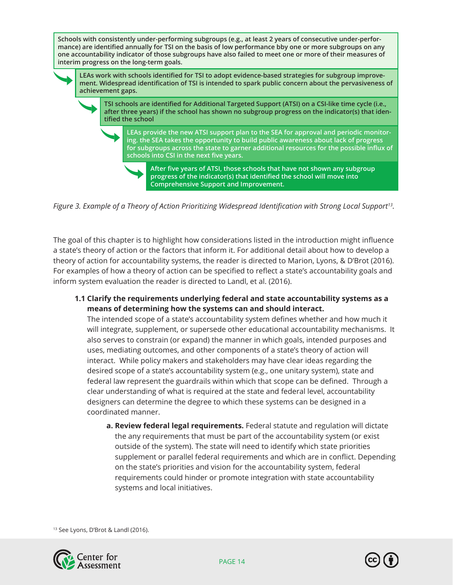

*Figure 3. Example of a Theory of Action Prioritizing Widespread Identification with Strong Local Support13.*

The goal of this chapter is to highlight how considerations listed in the introduction might influence a state's theory of action or the factors that inform it. For additional detail about how to develop a theory of action for accountability systems, the reader is directed to Marion, Lyons, & D'Brot (2016). For examples of how a theory of action can be specified to reflect a state's accountability goals and inform system evaluation the reader is directed to Landl, et al. (2016).

 **1.1 Clarify the requirements underlying federal and state accountability systems as a means of determining how the systems can and should interact.** 

The intended scope of a state's accountability system defines whether and how much it will integrate, supplement, or supersede other educational accountability mechanisms. It also serves to constrain (or expand) the manner in which goals, intended purposes and uses, mediating outcomes, and other components of a state's theory of action will interact. While policy makers and stakeholders may have clear ideas regarding the desired scope of a state's accountability system (e.g., one unitary system), state and federal law represent the guardrails within which that scope can be defined. Through a clear understanding of what is required at the state and federal level, accountability designers can determine the degree to which these systems can be designed in a coordinated manner.

 **a. Review federal legal requirements.** Federal statute and regulation will dictate the any requirements that must be part of the accountability system (or exist outside of the system). The state will need to identify which state priorities supplement or parallel federal requirements and which are in conflict. Depending on the state's priorities and vision for the accountability system, federal requirements could hinder or promote integration with state accountability systems and local initiatives.

<sup>13</sup> See Lyons, D'Brot & Landl (2016).



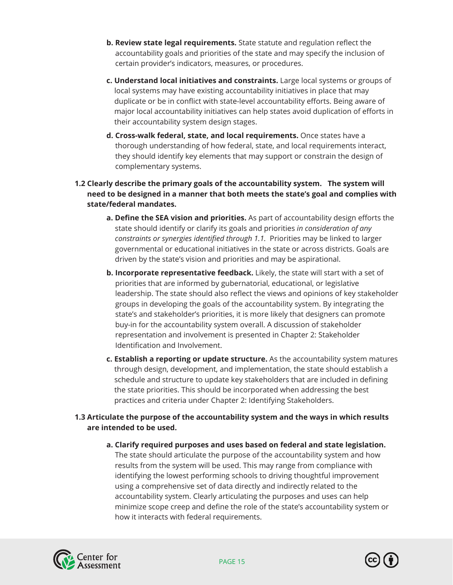- **b. Review state legal requirements.** State statute and regulation reflect the accountability goals and priorities of the state and may specify the inclusion of certain provider's indicators, measures, or procedures.
- **c. Understand local initiatives and constraints.** Large local systems or groups of local systems may have existing accountability initiatives in place that may duplicate or be in conflict with state-level accountability efforts. Being aware of major local accountability initiatives can help states avoid duplication of efforts in their accountability system design stages.
- **d. Cross-walk federal, state, and local requirements.** Once states have a thorough understanding of how federal, state, and local requirements interact, they should identify key elements that may support or constrain the design of complementary systems.

#### **1.2 Clearly describe the primary goals of the accountability system. The system will need to be designed in a manner that both meets the state's goal and complies with state/federal mandates.**

- **a. Define the SEA vision and priorities.** As part of accountability design efforts the state should identify or clarify its goals and priorities *in consideration of any constraints or synergies identified through 1.1.* Priorities may be linked to larger governmental or educational initiatives in the state or across districts. Goals are driven by the state's vision and priorities and may be aspirational.
- **b. Incorporate representative feedback.** Likely, the state will start with a set of priorities that are informed by gubernatorial, educational, or legislative leadership. The state should also reflect the views and opinions of key stakeholder groups in developing the goals of the accountability system. By integrating the state's and stakeholder's priorities, it is more likely that designers can promote buy-in for the accountability system overall. A discussion of stakeholder representation and involvement is presented in Chapter 2: Stakeholder Identification and Involvement.
- **c. Establish a reporting or update structure.** As the accountability system matures through design, development, and implementation, the state should establish a schedule and structure to update key stakeholders that are included in defining the state priorities. This should be incorporated when addressing the best practices and criteria under Chapter 2: Identifying Stakeholders.

#### **1.3 Articulate the purpose of the accountability system and the ways in which results are intended to be used.**

 **a. Clarify required purposes and uses based on federal and state legislation.**  The state should articulate the purpose of the accountability system and how results from the system will be used. This may range from compliance with identifying the lowest performing schools to driving thoughtful improvement using a comprehensive set of data directly and indirectly related to the accountability system. Clearly articulating the purposes and uses can help minimize scope creep and define the role of the state's accountability system or how it interacts with federal requirements.



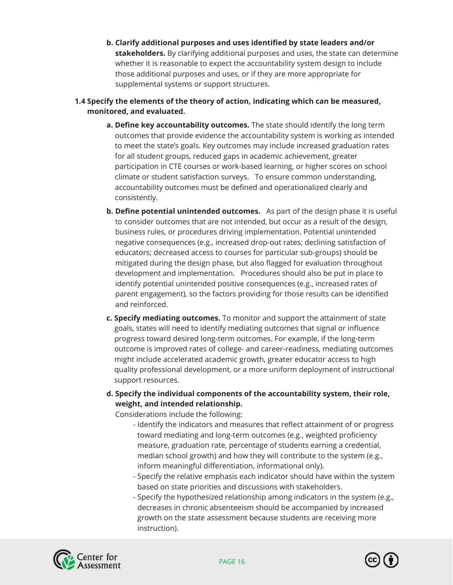**b. Clarify additional purposes and uses identified by state leaders and/or stakeholders.** By clarifying additional purposes and uses, the state can determine whether it is reasonable to expect the accountability system design to include those additional purposes and uses, or if they are more appropriate for supplemental systems or support structures.

#### **1.4 Specify the elements of the theory of action, indicating which can be measured, monitored, and evaluated.**

- **a. Define key accountability outcomes.** The state should identify the long term outcomes that provide evidence the accountability system is working as intended to meet the state's goals. Key outcomes may include increased graduation rates for all student groups, reduced gaps in academic achievement, greater participation in CTE courses or work-based learning, or higher scores on school climate or student satisfaction surveys. To ensure common understanding, accountability outcomes must be defined and operationalized clearly and consistently.
- **b. Define potential unintended outcomes.** As part of the design phase it is useful to consider outcomes that are not intended, but occur as a result of the design, business rules, or procedures driving implementation. Potential unintended negative consequences (e.g., increased drop-out rates; declining satisfaction of educators; decreased access to courses for particular sub-groups) should be mitigated during the design phase, but also flagged for evaluation throughout development and implementation. Procedures should also be put in place to identify potential unintended positive consequences (e.g., increased rates of parent engagement), so the factors providing for those results can be identified and reinforced.
- **c. Specify mediating outcomes.** To monitor and support the attainment of state goals, states will need to identify mediating outcomes that signal or influence progress toward desired long-term outcomes. For example, if the long-term outcome is improved rates of college- and career-readiness, mediating outcomes might include accelerated academic growth, greater educator access to high quality professional development, or a more uniform deployment of instructional support resources.
- **d. Specify the individual components of the accountability system, their role, weight, and intended relationship.**

Considerations include the following:

- Identify the indicators and measures that reflect attainment of or progress toward mediating and long-term outcomes (e.g., weighted proficiency measure, graduation rate, percentage of students earning a credential, median school growth) and how they will contribute to the system (e.g., inform meaningful differentiation, informational only).
- Specify the relative emphasis each indicator should have within the system based on state priorities and discussions with stakeholders.
- Specify the hypothesized relationship among indicators in the system (e.g., decreases in chronic absenteeism should be accompanied by increased growth on the state assessment because students are receiving more instruction).



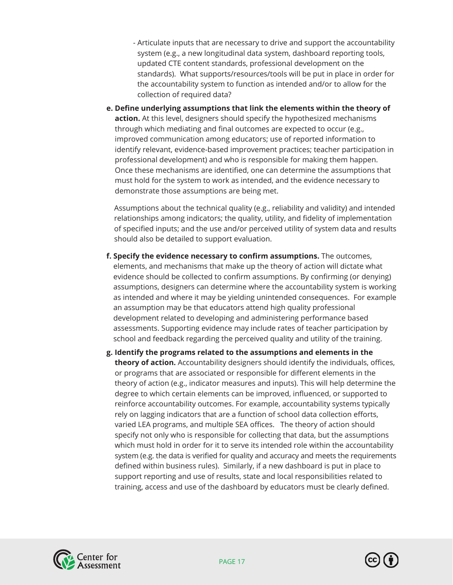- Articulate inputs that are necessary to drive and support the accountability system (e.g., a new longitudinal data system, dashboard reporting tools, updated CTE content standards, professional development on the standards). What supports/resources/tools will be put in place in order for the accountability system to function as intended and/or to allow for the collection of required data?
- **e. Define underlying assumptions that link the elements within the theory of action.** At this level, designers should specify the hypothesized mechanisms through which mediating and final outcomes are expected to occur (e.g., improved communication among educators; use of reported information to identify relevant, evidence-based improvement practices; teacher participation in professional development) and who is responsible for making them happen. Once these mechanisms are identified, one can determine the assumptions that must hold for the system to work as intended, and the evidence necessary to demonstrate those assumptions are being met.

 Assumptions about the technical quality (e.g., reliability and validity) and intended relationships among indicators; the quality, utility, and fidelity of implementation of specified inputs; and the use and/or perceived utility of system data and results should also be detailed to support evaluation.

- **f. Specify the evidence necessary to confirm assumptions.** The outcomes, elements, and mechanisms that make up the theory of action will dictate what evidence should be collected to confirm assumptions. By confirming (or denying) assumptions, designers can determine where the accountability system is working as intended and where it may be yielding unintended consequences. For example an assumption may be that educators attend high quality professional development related to developing and administering performance based assessments. Supporting evidence may include rates of teacher participation by school and feedback regarding the perceived quality and utility of the training.
- **g. Identify the programs related to the assumptions and elements in the theory of action.** Accountability designers should identify the individuals, offices, or programs that are associated or responsible for different elements in the theory of action (e.g., indicator measures and inputs). This will help determine the degree to which certain elements can be improved, influenced, or supported to reinforce accountability outcomes. For example, accountability systems typically rely on lagging indicators that are a function of school data collection efforts, varied LEA programs, and multiple SEA offices. The theory of action should specify not only who is responsible for collecting that data, but the assumptions which must hold in order for it to serve its intended role within the accountability system (e.g. the data is verified for quality and accuracy and meets the requirements defined within business rules). Similarly, if a new dashboard is put in place to support reporting and use of results, state and local responsibilities related to training, access and use of the dashboard by educators must be clearly defined.



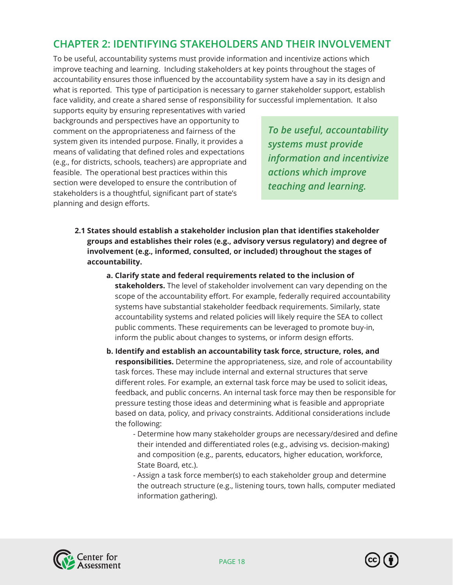## <span id="page-17-0"></span>**CHAPTER 2: IDENTIFYING STAKEHOLDERS AND THEIR INVOLVEMENT**

To be useful, accountability systems must provide information and incentivize actions which improve teaching and learning. Including stakeholders at key points throughout the stages of accountability ensures those influenced by the accountability system have a say in its design and what is reported. This type of participation is necessary to garner stakeholder support, establish face validity, and create a shared sense of responsibility for successful implementation. It also

supports equity by ensuring representatives with varied backgrounds and perspectives have an opportunity to comment on the appropriateness and fairness of the system given its intended purpose. Finally, it provides a means of validating that defined roles and expectations (e.g., for districts, schools, teachers) are appropriate and feasible. The operational best practices within this section were developed to ensure the contribution of stakeholders is a thoughtful, significant part of state's planning and design efforts.

*To be useful, accountability systems must provide information and incentivize actions which improve teaching and learning.* 

- **2.1 States should establish a stakeholder inclusion plan that identifies stakeholder groups and establishes their roles (e.g., advisory versus regulatory) and degree of involvement (e.g., informed, consulted, or included) throughout the stages of accountability.** 
	- **a. Clarify state and federal requirements related to the inclusion of stakeholders.** The level of stakeholder involvement can vary depending on the scope of the accountability effort. For example, federally required accountability systems have substantial stakeholder feedback requirements. Similarly, state accountability systems and related policies will likely require the SEA to collect public comments. These requirements can be leveraged to promote buy-in, inform the public about changes to systems, or inform design efforts.
	- **b. Identify and establish an accountability task force, structure, roles, and responsibilities.** Determine the appropriateness, size, and role of accountability task forces. These may include internal and external structures that serve different roles. For example, an external task force may be used to solicit ideas, feedback, and public concerns. An internal task force may then be responsible for pressure testing those ideas and determining what is feasible and appropriate based on data, policy, and privacy constraints. Additional considerations include the following:
		- Determine how many stakeholder groups are necessary/desired and define their intended and differentiated roles (e.g., advising vs. decision-making) and composition (e.g., parents, educators, higher education, workforce, State Board, etc.).
		- Assign a task force member(s) to each stakeholder group and determine the outreach structure (e.g., listening tours, town halls, computer mediated information gathering).



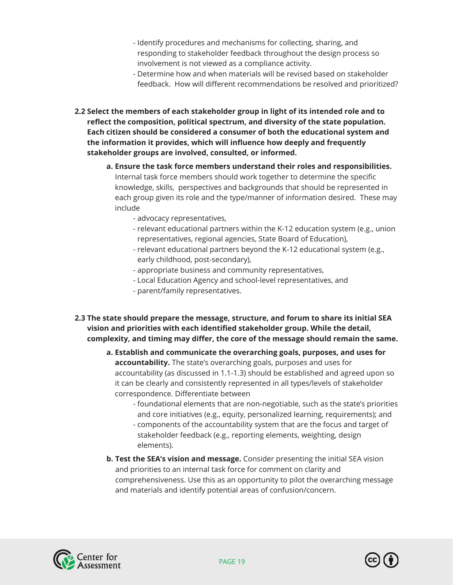- Identify procedures and mechanisms for collecting, sharing, and responding to stakeholder feedback throughout the design process so involvement is not viewed as a compliance activity.
- Determine how and when materials will be revised based on stakeholder feedback. How will different recommendations be resolved and prioritized?
- **2.2 Select the members of each stakeholder group in light of its intended role and to reflect the composition, political spectrum, and diversity of the state population. Each citizen should be considered a consumer of both the educational system and the information it provides, which will influence how deeply and frequently stakeholder groups are involved, consulted, or informed.** 
	- **a. Ensure the task force members understand their roles and responsibilities.**  Internal task force members should work together to determine the specific knowledge, skills, perspectives and backgrounds that should be represented in each group given its role and the type/manner of information desired. These may include
		- advocacy representatives,
		- relevant educational partners within the K-12 education system (e.g., union representatives, regional agencies, State Board of Education),
		- relevant educational partners beyond the K-12 educational system (e.g., early childhood, post-secondary),
		- appropriate business and community representatives,
		- Local Education Agency and school-level representatives, and
		- parent/family representatives.
- **2.3 The state should prepare the message, structure, and forum to share its initial SEA vision and priorities with each identified stakeholder group. While the detail, complexity, and timing may differ, the core of the message should remain the same.** 
	- **a. Establish and communicate the overarching goals, purposes, and uses for accountability.** The state's overarching goals, purposes and uses for accountability (as discussed in 1.1-1.3) should be established and agreed upon so it can be clearly and consistently represented in all types/levels of stakeholder correspondence. Differentiate between
		- foundational elements that are non-negotiable, such as the state's priorities and core initiatives (e.g., equity, personalized learning, requirements); and
		- components of the accountability system that are the focus and target of stakeholder feedback (e.g., reporting elements, weighting, design elements).
	- **b. Test the SEA's vision and message.** Consider presenting the initial SEA vision and priorities to an internal task force for comment on clarity and comprehensiveness. Use this as an opportunity to pilot the overarching message and materials and identify potential areas of confusion/concern.



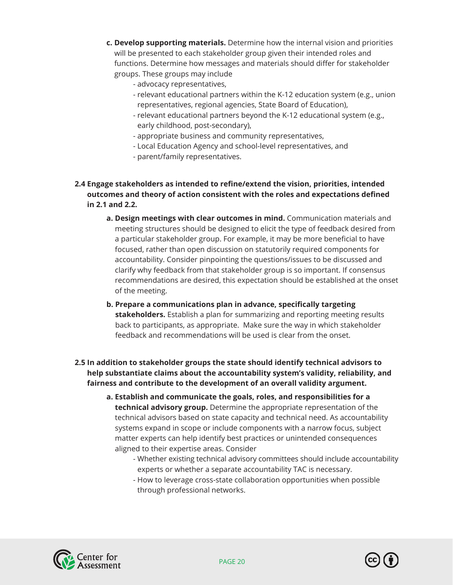- **c. Develop supporting materials.** Determine how the internal vision and priorities will be presented to each stakeholder group given their intended roles and functions. Determine how messages and materials should differ for stakeholder groups. These groups may include
	- advocacy representatives,
	- relevant educational partners within the K-12 education system (e.g., union representatives, regional agencies, State Board of Education),
	- relevant educational partners beyond the K-12 educational system (e.g., early childhood, post-secondary),
	- appropriate business and community representatives,
	- Local Education Agency and school-level representatives, and
	- parent/family representatives.

#### **2.4 Engage stakeholders as intended to refine/extend the vision, priorities, intended outcomes and theory of action consistent with the roles and expectations defined in 2.1 and 2.2.**

- **a. Design meetings with clear outcomes in mind.** Communication materials and meeting structures should be designed to elicit the type of feedback desired from a particular stakeholder group. For example, it may be more beneficial to have focused, rather than open discussion on statutorily required components for accountability. Consider pinpointing the questions/issues to be discussed and clarify why feedback from that stakeholder group is so important. If consensus recommendations are desired, this expectation should be established at the onset of the meeting.
- **b. Prepare a communications plan in advance, specifically targeting stakeholders.** Establish a plan for summarizing and reporting meeting results back to participants, as appropriate. Make sure the way in which stakeholder feedback and recommendations will be used is clear from the onset.

#### **2.5 In addition to stakeholder groups the state should identify technical advisors to help substantiate claims about the accountability system's validity, reliability, and fairness and contribute to the development of an overall validity argument.**

- **a. Establish and communicate the goals, roles, and responsibilities for a technical advisory group.** Determine the appropriate representation of the technical advisors based on state capacity and technical need. As accountability systems expand in scope or include components with a narrow focus, subject matter experts can help identify best practices or unintended consequences aligned to their expertise areas. Consider
	- Whether existing technical advisory committees should include accountability experts or whether a separate accountability TAC is necessary.
	- How to leverage cross-state collaboration opportunities when possible through professional networks.



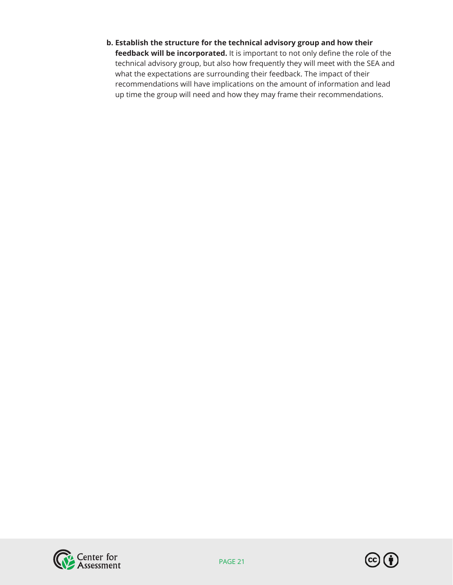**b. Establish the structure for the technical advisory group and how their feedback will be incorporated.** It is important to not only define the role of the technical advisory group, but also how frequently they will meet with the SEA and what the expectations are surrounding their feedback. The impact of their recommendations will have implications on the amount of information and lead up time the group will need and how they may frame their recommendations.



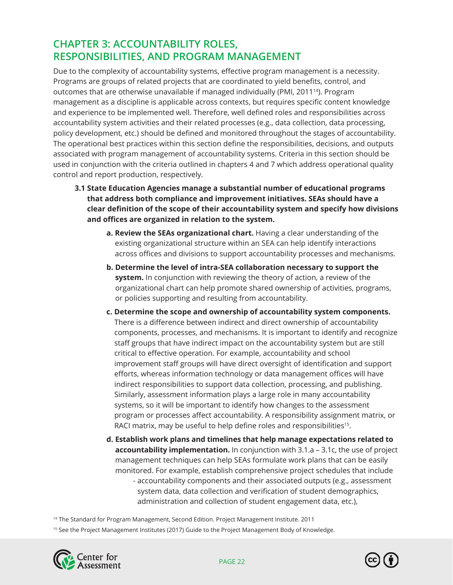## <span id="page-21-0"></span>**CHAPTER 3: ACCOUNTABILITY ROLES, RESPONSIBILITIES, AND PROGRAM MANAGEMENT**

Due to the complexity of accountability systems, effective program management is a necessity. Programs are groups of related projects that are coordinated to yield benefits, control, and outcomes that are otherwise unavailable if managed individually (PMI, 201114). Program management as a discipline is applicable across contexts, but requires specific content knowledge and experience to be implemented well. Therefore, well defined roles and responsibilities across accountability system activities and their related processes (e.g., data collection, data processing, policy development, etc.) should be defined and monitored throughout the stages of accountability. The operational best practices within this section define the responsibilities, decisions, and outputs associated with program management of accountability systems. Criteria in this section should be used in conjunction with the criteria outlined in chapters 4 and 7 which address operational quality control and report production, respectively.

- **3.1 State Education Agencies manage a substantial number of educational programs that address both compliance and improvement initiatives. SEAs should have a clear definition of the scope of their accountability system and specify how divisions and offices are organized in relation to the system.** 
	- **a. Review the SEAs organizational chart.** Having a clear understanding of the existing organizational structure within an SEA can help identify interactions across offices and divisions to support accountability processes and mechanisms.
	- **b. Determine the level of intra-SEA collaboration necessary to support the system.** In conjunction with reviewing the theory of action, a review of the organizational chart can help promote shared ownership of activities, programs, or policies supporting and resulting from accountability.
	- **c. Determine the scope and ownership of accountability system components.**  There is a difference between indirect and direct ownership of accountability components, processes, and mechanisms. It is important to identify and recognize staff groups that have indirect impact on the accountability system but are still critical to effective operation. For example, accountability and school improvement staff groups will have direct oversight of identification and support efforts, whereas information technology or data management offices will have indirect responsibilities to support data collection, processing, and publishing. Similarly, assessment information plays a large role in many accountability systems, so it will be important to identify how changes to the assessment program or processes affect accountability. A responsibility assignment matrix, or RACI matrix, may be useful to help define roles and responsibilities<sup>15</sup>.
	- **d. Establish work plans and timelines that help manage expectations related to accountability implementation.** In conjunction with 3.1.a – 3.1c, the use of project management techniques can help SEAs formulate work plans that can be easily monitored. For example, establish comprehensive project schedules that include
		- accountability components and their associated outputs (e.g., assessment system data, data collection and verification of student demographics, administration and collection of student engagement data, etc.),

<sup>14</sup> The Standard for Program Management, Second Edition. Project Management Institute. 2011

<sup>15</sup> See the Project Management Institutes (2017) Guide to the Project Management Body of Knowledge.



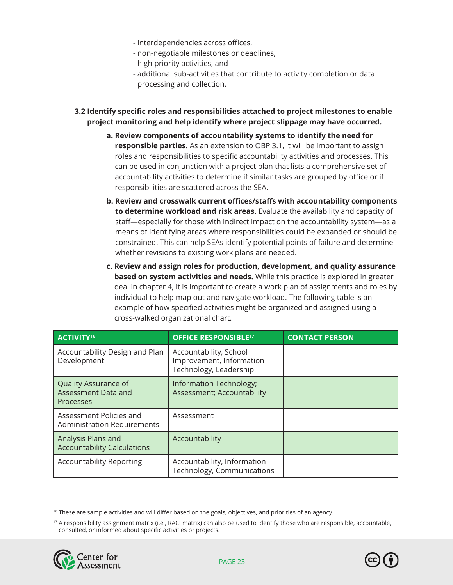- interdependencies across offices,
- non-negotiable milestones or deadlines,
- high priority activities, and
- additional sub-activities that contribute to activity completion or data processing and collection.
- **3.2 Identify specific roles and responsibilities attached to project milestones to enable project monitoring and help identify where project slippage may have occurred.** 
	- **a. Review components of accountability systems to identify the need for responsible parties.** As an extension to OBP 3.1, it will be important to assign roles and responsibilities to specific accountability activities and processes. This can be used in conjunction with a project plan that lists a comprehensive set of accountability activities to determine if similar tasks are grouped by office or if responsibilities are scattered across the SEA.
	- **b. Review and crosswalk current offices/staffs with accountability components to determine workload and risk areas.** Evaluate the availability and capacity of staff—especially for those with indirect impact on the accountability system—as a means of identifying areas where responsibilities could be expanded or should be constrained. This can help SEAs identify potential points of failure and determine whether revisions to existing work plans are needed.
	- **c. Review and assign roles for production, development, and quality assurance based on system activities and needs.** While this practice is explored in greater deal in chapter 4, it is important to create a work plan of assignments and roles by individual to help map out and navigate workload. The following table is an example of how specified activities might be organized and assigned using a cross-walked organizational chart.

| ACTIVITY <sup>16</sup>                                        | <b>OFFICE RESPONSIBLE<sup>17</sup></b>                                       | <b>CONTACT PERSON</b> |
|---------------------------------------------------------------|------------------------------------------------------------------------------|-----------------------|
| Accountability Design and Plan<br>Development                 | Accountability, School<br>Improvement, Information<br>Technology, Leadership |                       |
| Quality Assurance of<br>Assessment Data and<br>Processes      | Information Technology;<br>Assessment; Accountability                        |                       |
| Assessment Policies and<br><b>Administration Requirements</b> | Assessment                                                                   |                       |
| Analysis Plans and<br><b>Accountability Calculations</b>      | Accountability                                                               |                       |
| <b>Accountability Reporting</b>                               | Accountability, Information<br>Technology, Communications                    |                       |

<sup>17</sup> A responsibility assignment matrix (i.e., RACI matrix) can also be used to identify those who are responsible, accountable, consulted, or informed about specific activities or projects.





<sup>&</sup>lt;sup>16</sup> These are sample activities and will differ based on the goals, objectives, and priorities of an agency.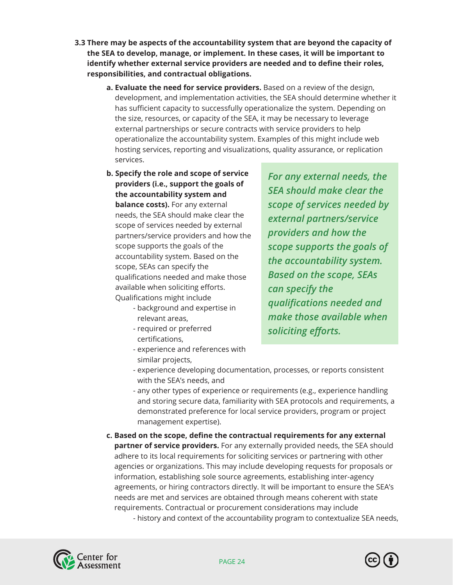- **3.3 There may be aspects of the accountability system that are beyond the capacity of the SEA to develop, manage, or implement. In these cases, it will be important to identify whether external service providers are needed and to define their roles, responsibilities, and contractual obligations.** 
	- **a. Evaluate the need for service providers.** Based on a review of the design, development, and implementation activities, the SEA should determine whether it has sufficient capacity to successfully operationalize the system. Depending on the size, resources, or capacity of the SEA, it may be necessary to leverage external partnerships or secure contracts with service providers to help operationalize the accountability system. Examples of this might include web hosting services, reporting and visualizations, quality assurance, or replication services.
	- **b. Specify the role and scope of service providers (i.e., support the goals of the accountability system and balance costs).** For any external needs, the SEA should make clear the scope of services needed by external partners/service providers and how the scope supports the goals of the accountability system. Based on the scope, SEAs can specify the qualifications needed and make those available when soliciting efforts. Qualifications might include
		- background and expertise in relevant areas,
		- required or preferred certifications,
		- experience and references with similar projects,

*For any external needs, the SEA should make clear the scope of services needed by external partners/service providers and how the scope supports the goals of the accountability system. Based on the scope, SEAs can specify the qualifications needed and make those available when soliciting efforts.*

- experience developing documentation, processes, or reports consistent with the SEA's needs, and
- any other types of experience or requirements (e.g., experience handling and storing secure data, familiarity with SEA protocols and requirements, a demonstrated preference for local service providers, program or project management expertise).
- **c. Based on the scope, define the contractual requirements for any external partner of service providers.** For any externally provided needs, the SEA should adhere to its local requirements for soliciting services or partnering with other agencies or organizations. This may include developing requests for proposals or information, establishing sole source agreements, establishing inter-agency agreements, or hiring contractors directly. It will be important to ensure the SEA's needs are met and services are obtained through means coherent with state requirements. Contractual or procurement considerations may include - history and context of the accountability program to contextualize SEA needs,



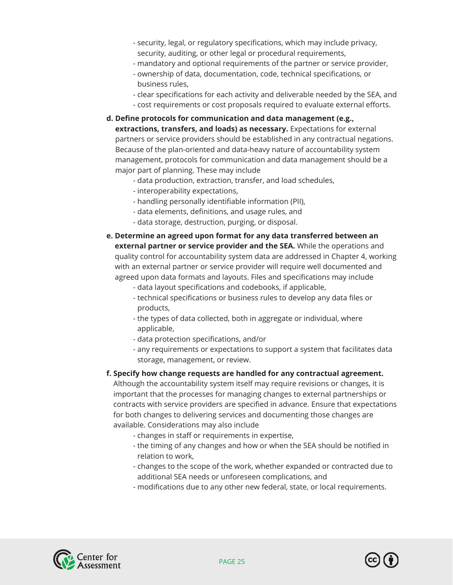- security, legal, or regulatory specifications, which may include privacy, security, auditing, or other legal or procedural requirements,
- mandatory and optional requirements of the partner or service provider,
- ownership of data, documentation, code, technical specifications, or business rules,
- clear specifications for each activity and deliverable needed by the SEA, and
- cost requirements or cost proposals required to evaluate external efforts.
- **d. Define protocols for communication and data management (e.g., extractions, transfers, and loads) as necessary.** Expectations for external partners or service providers should be established in any contractual negations. Because of the plan-oriented and data-heavy nature of accountability system management, protocols for communication and data management should be a major part of planning. These may include
	- data production, extraction, transfer, and load schedules,
	- interoperability expectations,
	- handling personally identifiable information (PII),
	- data elements, definitions, and usage rules, and
	- data storage, destruction, purging, or disposal.
- **e. Determine an agreed upon format for any data transferred between an external partner or service provider and the SEA.** While the operations and quality control for accountability system data are addressed in Chapter 4, working with an external partner or service provider will require well documented and agreed upon data formats and layouts. Files and specifications may include
	- data layout specifications and codebooks, if applicable,
	- technical specifications or business rules to develop any data files or products,
	- the types of data collected, both in aggregate or individual, where applicable,
	- data protection specifications, and/or
	- any requirements or expectations to support a system that facilitates data storage, management, or review.

#### **f. Specify how change requests are handled for any contractual agreement.**

Although the accountability system itself may require revisions or changes, it is important that the processes for managing changes to external partnerships or contracts with service providers are specified in advance. Ensure that expectations for both changes to delivering services and documenting those changes are available. Considerations may also include

- changes in staff or requirements in expertise,
- the timing of any changes and how or when the SEA should be notified in relation to work,
- changes to the scope of the work, whether expanded or contracted due to additional SEA needs or unforeseen complications, and
- modifications due to any other new federal, state, or local requirements.



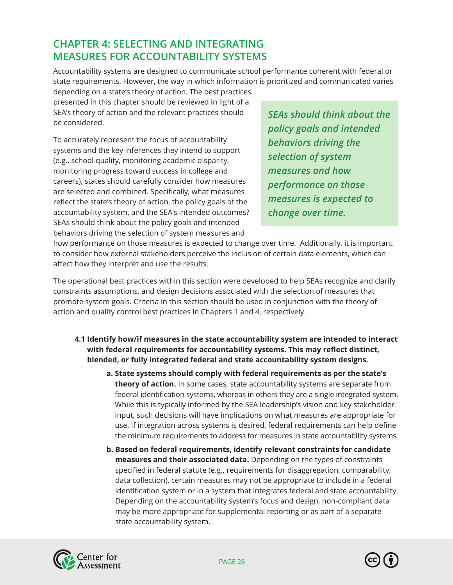## <span id="page-25-0"></span>**CHAPTER 4: SELECTING AND INTEGRATING MEASURES FOR ACCOUNTABILITY SYSTEMS**

Accountability systems are designed to communicate school performance coherent with federal or state requirements. However, the way in which information is prioritized and communicated varies

depending on a state's theory of action. The best practices presented in this chapter should be reviewed in light of a SEA's theory of action and the relevant practices should be considered.

To accurately represent the focus of accountability systems and the key inferences they intend to support (e.g., school quality, monitoring academic disparity, monitoring progress toward success in college and careers), states should carefully consider how measures are selected and combined. Specifically, what measures reflect the state's theory of action, the policy goals of the accountability system, and the SEA's intended outcomes? SEAs should think about the policy goals and intended behaviors driving the selection of system measures and

*SEAs should think about the policy goals and intended behaviors driving the selection of system measures and how performance on those measures is expected to change over time.* 

how performance on those measures is expected to change over time. Additionally, it is important to consider how external stakeholders perceive the inclusion of certain data elements, which can affect how they interpret and use the results.

The operational best practices within this section were developed to help SEAs recognize and clarify constraints assumptions, and design decisions associated with the selection of measures that promote system goals. Criteria in this section should be used in conjunction with the theory of action and quality control best practices in Chapters 1 and 4, respectively.

- **4.1 Identify how/if measures in the state accountability system are intended to interact with federal requirements for accountability systems. This may reflect distinct, blended, or fully integrated federal and state accountability system designs.** 
	- **a. State systems should comply with federal requirements as per the state's theory of action.** In some cases, state accountability systems are separate from federal identification systems, whereas in others they are a single integrated system. While this is typically informed by the SEA leadership's vision and key stakeholder input, such decisions will have implications on what measures are appropriate for use. If integration across systems is desired, federal requirements can help define the minimum requirements to address for measures in state accountability systems.
	- **b. Based on federal requirements, identify relevant constraints for candidate measures and their associated data.** Depending on the types of constraints specified in federal statute (e.g., requirements for disaggregation, comparability, data collection), certain measures may not be appropriate to include in a federal identification system or in a system that integrates federal and state accountability. Depending on the accountability system's focus and design, non-compliant data may be more appropriate for supplemental reporting or as part of a separate state accountability system.



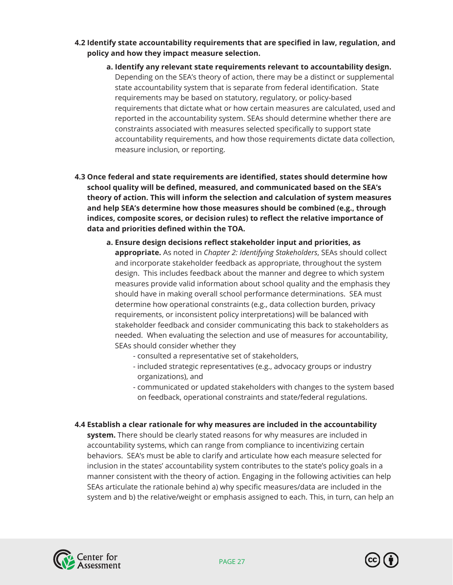#### **4.2 Identify state accountability requirements that are specified in law, regulation, and policy and how they impact measure selection.**

- **a. Identify any relevant state requirements relevant to accountability design.**  Depending on the SEA's theory of action, there may be a distinct or supplemental state accountability system that is separate from federal identification. State requirements may be based on statutory, regulatory, or policy-based requirements that dictate what or how certain measures are calculated, used and reported in the accountability system. SEAs should determine whether there are constraints associated with measures selected specifically to support state accountability requirements, and how those requirements dictate data collection, measure inclusion, or reporting.
- **4.3 Once federal and state requirements are identified, states should determine how school quality will be defined, measured, and communicated based on the SEA's theory of action. This will inform the selection and calculation of system measures and help SEA's determine how those measures should be combined (e.g., through indices, composite scores, or decision rules) to reflect the relative importance of data and priorities defined within the TOA.**
	- **a. Ensure design decisions reflect stakeholder input and priorities, as appropriate.** As noted in *Chapter 2: Identifying Stakeholders*, SEAs should collect and incorporate stakeholder feedback as appropriate, throughout the system design. This includes feedback about the manner and degree to which system measures provide valid information about school quality and the emphasis they should have in making overall school performance determinations. SEA must determine how operational constraints (e.g., data collection burden, privacy requirements, or inconsistent policy interpretations) will be balanced with stakeholder feedback and consider communicating this back to stakeholders as needed. When evaluating the selection and use of measures for accountability, SEAs should consider whether they
		- consulted a representative set of stakeholders,
		- included strategic representatives (e.g., advocacy groups or industry organizations), and
		- communicated or updated stakeholders with changes to the system based on feedback, operational constraints and state/federal regulations.

#### **4.4 Establish a clear rationale for why measures are included in the accountability**

**system.** There should be clearly stated reasons for why measures are included in accountability systems, which can range from compliance to incentivizing certain behaviors. SEA's must be able to clarify and articulate how each measure selected for inclusion in the states' accountability system contributes to the state's policy goals in a manner consistent with the theory of action. Engaging in the following activities can help SEAs articulate the rationale behind a) why specific measures/data are included in the system and b) the relative/weight or emphasis assigned to each. This, in turn, can help an



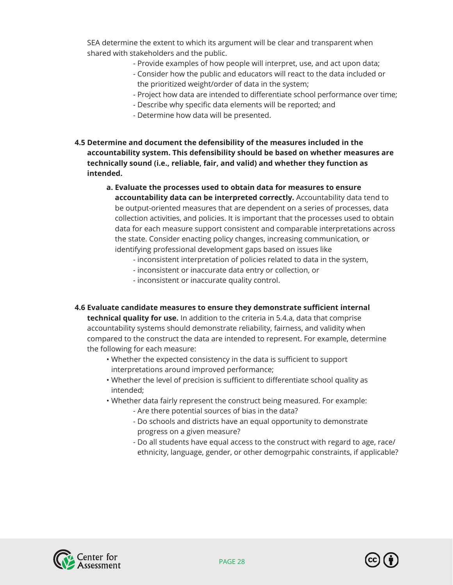SEA determine the extent to which its argument will be clear and transparent when shared with stakeholders and the public.

- Provide examples of how people will interpret, use, and act upon data;
- Consider how the public and educators will react to the data included or the prioritized weight/order of data in the system;
- Project how data are intended to differentiate school performance over time;
- Describe why specific data elements will be reported; and
- Determine how data will be presented.
- **4.5 Determine and document the defensibility of the measures included in the accountability system. This defensibility should be based on whether measures are technically sound (i.e., reliable, fair, and valid) and whether they function as intended.** 
	- **a. Evaluate the processes used to obtain data for measures to ensure accountability data can be interpreted correctly.** Accountability data tend to be output-oriented measures that are dependent on a series of processes, data collection activities, and policies. It is important that the processes used to obtain data for each measure support consistent and comparable interpretations across the state. Consider enacting policy changes, increasing communication, or identifying professional development gaps based on issues like
		- inconsistent interpretation of policies related to data in the system,
		- inconsistent or inaccurate data entry or collection, or
		- inconsistent or inaccurate quality control.
- **4.6 Evaluate candidate measures to ensure they demonstrate sufficient internal technical quality for use.** In addition to the criteria in 5.4.a, data that comprise accountability systems should demonstrate reliability, fairness, and validity when compared to the construct the data are intended to represent. For example, determine the following for each measure:
	- Whether the expected consistency in the data is sufficient to support interpretations around improved performance;
	- Whether the level of precision is sufficient to differentiate school quality as intended;
	- Whether data fairly represent the construct being measured. For example:
		- Are there potential sources of bias in the data?
		- Do schools and districts have an equal opportunity to demonstrate progress on a given measure?
		- Do all students have equal access to the construct with regard to age, race/ ethnicity, language, gender, or other demogrpahic constraints, if applicable?



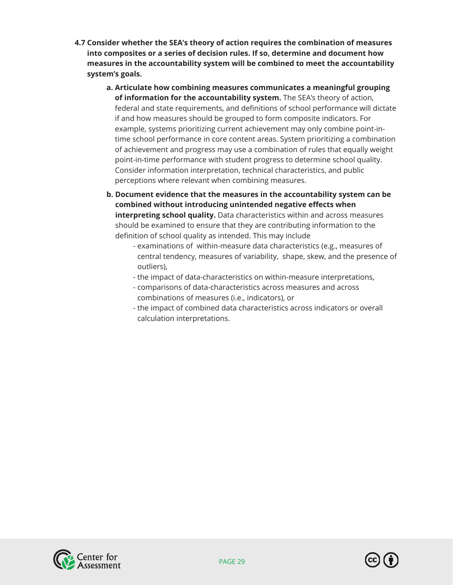- **4.7 Consider whether the SEA's theory of action requires the combination of measures into composites or a series of decision rules. If so, determine and document how measures in the accountability system will be combined to meet the accountability system's goals.** 
	- **a. Articulate how combining measures communicates a meaningful grouping of information for the accountability system.** The SEA's theory of action, federal and state requirements, and definitions of school performance will dictate if and how measures should be grouped to form composite indicators. For example, systems prioritizing current achievement may only combine point-intime school performance in core content areas. System prioritizing a combination of achievement and progress may use a combination of rules that equally weight point-in-time performance with student progress to determine school quality. Consider information interpretation, technical characteristics, and public perceptions where relevant when combining measures.
	- **b. Document evidence that the measures in the accountability system can be combined without introducing unintended negative effects when interpreting school quality.** Data characteristics within and across measures should be examined to ensure that they are contributing information to the definition of school quality as intended. This may include
		- examinations of within-measure data characteristics (e.g., measures of central tendency, measures of variability, shape, skew, and the presence of outliers),
		- the impact of data-characteristics on within-measure interpretations,
		- comparisons of data-characteristics across measures and across combinations of measures (i.e., indicators), or
		- the impact of combined data characteristics across indicators or overall calculation interpretations.

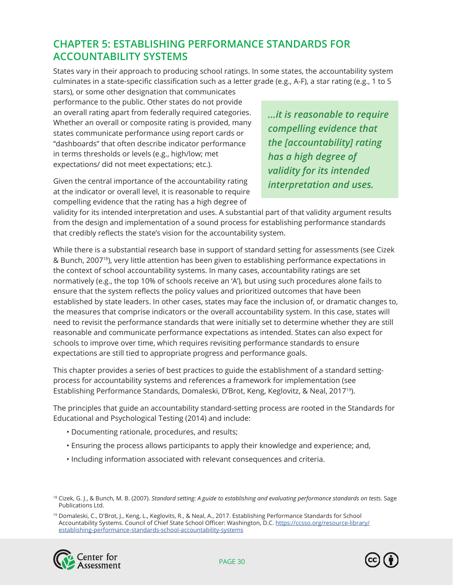## <span id="page-29-0"></span>**CHAPTER 5: ESTABLISHING PERFORMANCE STANDARDS FOR ACCOUNTABILITY SYSTEMS**

States vary in their approach to producing school ratings. In some states, the accountability system culminates in a state-specific classification such as a letter grade (e.g., A-F), a star rating (e.g., 1 to 5

stars), or some other designation that communicates performance to the public. Other states do not provide an overall rating apart from federally required categories. Whether an overall or composite rating is provided, many states communicate performance using report cards or "dashboards" that often describe indicator performance in terms thresholds or levels (e.g., high/low; met expectations/ did not meet expectations; etc.).

Given the central importance of the accountability rating at the indicator or overall level, it is reasonable to require compelling evidence that the rating has a high degree of

*...it is reasonable to require compelling evidence that the [accountability] rating has a high degree of validity for its intended interpretation and uses.* 

validity for its intended interpretation and uses. A substantial part of that validity argument results from the design and implementation of a sound process for establishing performance standards that credibly reflects the state's vision for the accountability system.

While there is a substantial research base in support of standard setting for assessments (see Cizek & Bunch, 200718), very little attention has been given to establishing performance expectations in the context of school accountability systems. In many cases, accountability ratings are set normatively (e.g., the top 10% of schools receive an 'A'), but using such procedures alone fails to ensure that the system reflects the policy values and prioritized outcomes that have been established by state leaders. In other cases, states may face the inclusion of, or dramatic changes to, the measures that comprise indicators or the overall accountability system. In this case, states will need to revisit the performance standards that were initially set to determine whether they are still reasonable and communicate performance expectations as intended. States can also expect for schools to improve over time, which requires revisiting performance standards to ensure expectations are still tied to appropriate progress and performance goals.

This chapter provides a series of best practices to guide the establishment of a standard settingprocess for accountability systems and references a framework for implementation (see Establishing Performance Standards, Domaleski, D'Brot, Keng, Keglovitz, & Neal, 201719).

The principles that guide an accountability standard-setting process are rooted in the Standards for Educational and Psychological Testing (2014) and include:

- Documenting rationale, procedures, and results;
- Ensuring the process allows participants to apply their knowledge and experience; and,
- Including information associated with relevant consequences and criteria.

<sup>19</sup> Domaleski, C., D'Brot, J., Keng, L., Keglovits, R., & Neal, A., 2017. Establishing Performance Standards for School Accountability Systems. Council of Chief State School Officer: Washington, D.C. [https://ccsso.org/resource-library/](https://ccsso.org/resource-library/establishing-performance-standards-school-accountability-systems) [establishing-performance-standards-school-accountability-systems](https://ccsso.org/resource-library/establishing-performance-standards-school-accountability-systems)





<sup>&</sup>lt;sup>18</sup> Cizek, G. J., & Bunch, M. B. (2007). *Standard setting: A guide to establishing and evaluating performance standards on tests. Sage* Publications Ltd.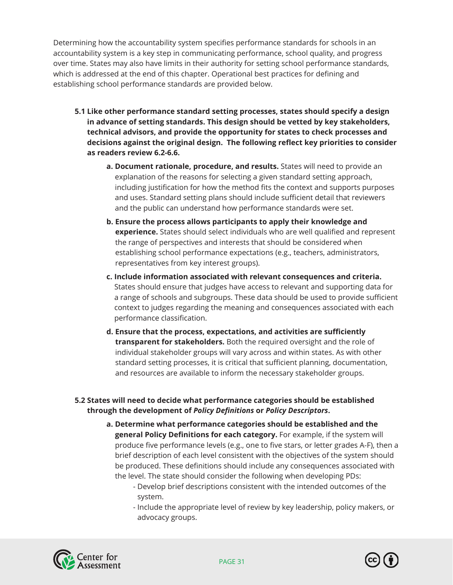Determining how the accountability system specifies performance standards for schools in an accountability system is a key step in communicating performance, school quality, and progress over time. States may also have limits in their authority for setting school performance standards, which is addressed at the end of this chapter. Operational best practices for defining and establishing school performance standards are provided below.

- **5.1 Like other performance standard setting processes, states should specify a design in advance of setting standards. This design should be vetted by key stakeholders, technical advisors, and provide the opportunity for states to check processes and decisions against the original design. The following reflect key priorities to consider as readers review 6.2-6.6.**
	- **a. Document rationale, procedure, and results.** States will need to provide an explanation of the reasons for selecting a given standard setting approach, including justification for how the method fits the context and supports purposes and uses. Standard setting plans should include sufficient detail that reviewers and the public can understand how performance standards were set.
	- **b. Ensure the process allows participants to apply their knowledge and experience.** States should select individuals who are well qualified and represent the range of perspectives and interests that should be considered when establishing school performance expectations (e.g., teachers, administrators, representatives from key interest groups).
	- **c. Include information associated with relevant consequences and criteria.**  States should ensure that judges have access to relevant and supporting data for a range of schools and subgroups. These data should be used to provide sufficient context to judges regarding the meaning and consequences associated with each performance classification.
	- **d. Ensure that the process, expectations, and activities are sufficiently transparent for stakeholders.** Both the required oversight and the role of individual stakeholder groups will vary across and within states. As with other standard setting processes, it is critical that sufficient planning, documentation, and resources are available to inform the necessary stakeholder groups.

#### **5.2 States will need to decide what performance categories should be established through the development of** *Policy Definitions* **or** *Policy Descriptors***.**

- **a. Determine what performance categories should be established and the general Policy Definitions for each category.** For example, if the system will produce five performance levels (e.g., one to five stars, or letter grades A-F), then a brief description of each level consistent with the objectives of the system should be produced. These definitions should include any consequences associated with the level. The state should consider the following when developing PDs:
	- Develop brief descriptions consistent with the intended outcomes of the system.
	- Include the appropriate level of review by key leadership, policy makers, or advocacy groups.



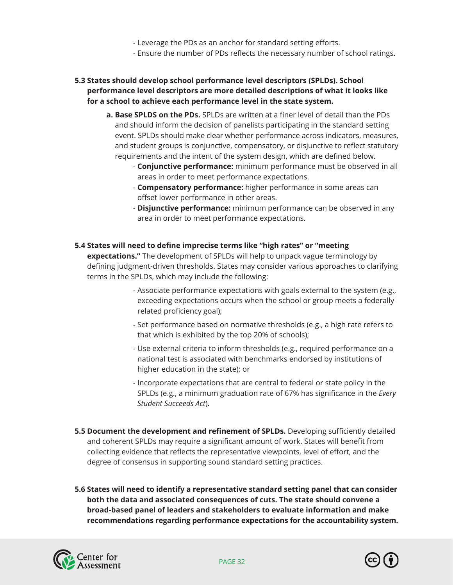- Leverage the PDs as an anchor for standard setting efforts.
- Ensure the number of PDs reflects the necessary number of school ratings.

#### **5.3 States should develop school performance level descriptors (SPLDs). School performance level descriptors are more detailed descriptions of what it looks like for a school to achieve each performance level in the state system.**

- **a. Base SPLDS on the PDs.** SPLDs are written at a finer level of detail than the PDs and should inform the decision of panelists participating in the standard setting event. SPLDs should make clear whether performance across indicators, measures, and student groups is conjunctive, compensatory, or disjunctive to reflect statutory requirements and the intent of the system design, which are defined below.
	- **Conjunctive performance:** minimum performance must be observed in all areas in order to meet performance expectations.
	- **Compensatory performance:** higher performance in some areas can offset lower performance in other areas.
	- **Disjunctive performance:** minimum performance can be observed in any area in order to meet performance expectations.

#### **5.4 States will need to define imprecise terms like "high rates" or "meeting**

**expectations."** The development of SPLDs will help to unpack vague terminology by defining judgment-driven thresholds. States may consider various approaches to clarifying terms in the SPLDs, which may include the following:

- Associate performance expectations with goals external to the system (e.g., exceeding expectations occurs when the school or group meets a federally related proficiency goal);
- Set performance based on normative thresholds (e.g., a high rate refers to that which is exhibited by the top 20% of schools);
- Use external criteria to inform thresholds (e.g., required performance on a national test is associated with benchmarks endorsed by institutions of higher education in the state); or
- Incorporate expectations that are central to federal or state policy in the SPLDs (e.g., a minimum graduation rate of 67% has significance in the *Every Student Succeeds Act*).
- **5.5 Document the development and refinement of SPLDs.** Developing sufficiently detailed and coherent SPLDs may require a significant amount of work. States will benefit from collecting evidence that reflects the representative viewpoints, level of effort, and the degree of consensus in supporting sound standard setting practices.
- **5.6 States will need to identify a representative standard setting panel that can consider both the data and associated consequences of cuts. The state should convene a broad-based panel of leaders and stakeholders to evaluate information and make recommendations regarding performance expectations for the accountability system.**



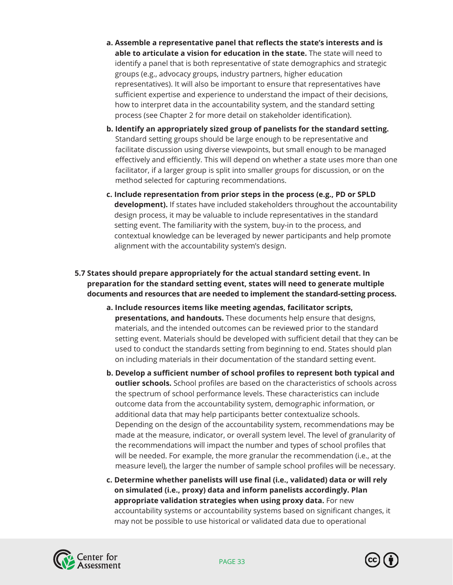- **a. Assemble a representative panel that reflects the state's interests and is able to articulate a vision for education in the state.** The state will need to identify a panel that is both representative of state demographics and strategic groups (e.g., advocacy groups, industry partners, higher education representatives). It will also be important to ensure that representatives have sufficient expertise and experience to understand the impact of their decisions, how to interpret data in the accountability system, and the standard setting process (see Chapter 2 for more detail on stakeholder identification).
- **b. Identify an appropriately sized group of panelists for the standard setting.**  Standard setting groups should be large enough to be representative and facilitate discussion using diverse viewpoints, but small enough to be managed effectively and efficiently. This will depend on whether a state uses more than one facilitator, if a larger group is split into smaller groups for discussion, or on the method selected for capturing recommendations.
- **c. Include representation from prior steps in the process (e.g., PD or SPLD development).** If states have included stakeholders throughout the accountability design process, it may be valuable to include representatives in the standard setting event. The familiarity with the system, buy-in to the process, and contextual knowledge can be leveraged by newer participants and help promote alignment with the accountability system's design.

#### **5.7 States should prepare appropriately for the actual standard setting event. In preparation for the standard setting event, states will need to generate multiple documents and resources that are needed to implement the standard-setting process.**

- **a. Include resources items like meeting agendas, facilitator scripts, presentations, and handouts.** These documents help ensure that designs, materials, and the intended outcomes can be reviewed prior to the standard setting event. Materials should be developed with sufficient detail that they can be used to conduct the standards setting from beginning to end. States should plan on including materials in their documentation of the standard setting event.
- **b. Develop a sufficient number of school profiles to represent both typical and outlier schools.** School profiles are based on the characteristics of schools across the spectrum of school performance levels. These characteristics can include outcome data from the accountability system, demographic information, or additional data that may help participants better contextualize schools. Depending on the design of the accountability system, recommendations may be made at the measure, indicator, or overall system level. The level of granularity of the recommendations will impact the number and types of school profiles that will be needed. For example, the more granular the recommendation (i.e., at the measure level), the larger the number of sample school profiles will be necessary.
- **c. Determine whether panelists will use final (i.e., validated) data or will rely on simulated (i.e., proxy) data and inform panelists accordingly. Plan appropriate validation strategies when using proxy data.** For new accountability systems or accountability systems based on significant changes, it may not be possible to use historical or validated data due to operational



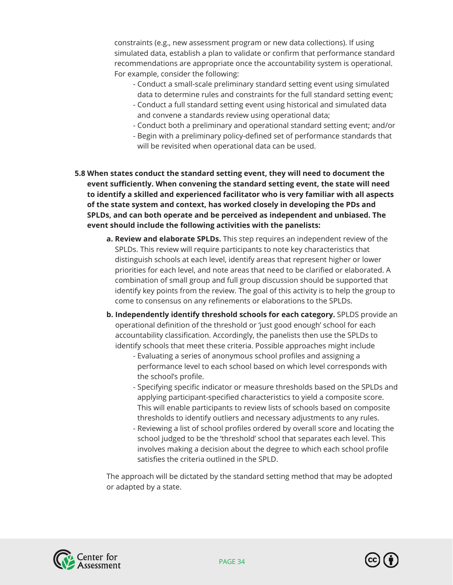constraints (e.g., new assessment program or new data collections). If using simulated data, establish a plan to validate or confirm that performance standard recommendations are appropriate once the accountability system is operational. For example, consider the following:

- Conduct a small-scale preliminary standard setting event using simulated data to determine rules and constraints for the full standard setting event;
- Conduct a full standard setting event using historical and simulated data and convene a standards review using operational data;
- Conduct both a preliminary and operational standard setting event; and/or
- Begin with a preliminary policy-defined set of performance standards that will be revisited when operational data can be used.
- **5.8 When states conduct the standard setting event, they will need to document the event sufficiently. When convening the standard setting event, the state will need to identify a skilled and experienced facilitator who is very familiar with all aspects of the state system and context, has worked closely in developing the PDs and SPLDs, and can both operate and be perceived as independent and unbiased. The event should include the following activities with the panelists:**
	- **a. Review and elaborate SPLDs.** This step requires an independent review of the SPLDs. This review will require participants to note key characteristics that distinguish schools at each level, identify areas that represent higher or lower priorities for each level, and note areas that need to be clarified or elaborated. A combination of small group and full group discussion should be supported that identify key points from the review. The goal of this activity is to help the group to come to consensus on any refinements or elaborations to the SPLDs.
	- **b. Independently identify threshold schools for each category.** SPLDS provide an operational definition of the threshold or 'just good enough' school for each accountability classification. Accordingly, the panelists then use the SPLDs to identify schools that meet these criteria. Possible approaches might include
		- Evaluating a series of anonymous school profiles and assigning a performance level to each school based on which level corresponds with the school's profile.
		- Specifying specific indicator or measure thresholds based on the SPLDs and applying participant-specified characteristics to yield a composite score. This will enable participants to review lists of schools based on composite thresholds to identify outliers and necessary adjustments to any rules.
		- Reviewing a list of school profiles ordered by overall score and locating the school judged to be the 'threshold' school that separates each level. This involves making a decision about the degree to which each school profile satisfies the criteria outlined in the SPLD.

 The approach will be dictated by the standard setting method that may be adopted or adapted by a state.



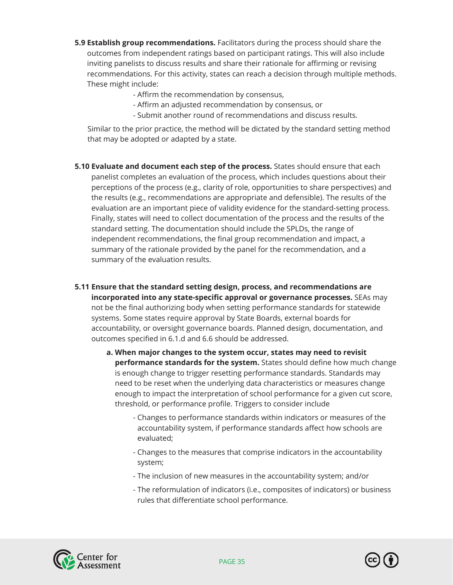- **5.9 Establish group recommendations.** Facilitators during the process should share the outcomes from independent ratings based on participant ratings. This will also include inviting panelists to discuss results and share their rationale for affirming or revising recommendations. For this activity, states can reach a decision through multiple methods. These might include:
	- Affirm the recommendation by consensus,
	- Affirm an adjusted recommendation by consensus, or
	- Submit another round of recommendations and discuss results.

 Similar to the prior practice, the method will be dictated by the standard setting method that may be adopted or adapted by a state.

- **5.10 Evaluate and document each step of the process.** States should ensure that each panelist completes an evaluation of the process, which includes questions about their perceptions of the process (e.g., clarity of role, opportunities to share perspectives) and the results (e.g., recommendations are appropriate and defensible). The results of the evaluation are an important piece of validity evidence for the standard-setting process. Finally, states will need to collect documentation of the process and the results of the standard setting. The documentation should include the SPLDs, the range of independent recommendations, the final group recommendation and impact, a summary of the rationale provided by the panel for the recommendation, and a summary of the evaluation results.
- **5.11 Ensure that the standard setting design, process, and recommendations are incorporated into any state-specific approval or governance processes.** SEAs may not be the final authorizing body when setting performance standards for statewide systems. Some states require approval by State Boards, external boards for accountability, or oversight governance boards. Planned design, documentation, and outcomes specified in 6.1.d and 6.6 should be addressed.
	- **a. When major changes to the system occur, states may need to revisit performance standards for the system.** States should define how much change is enough change to trigger resetting performance standards. Standards may need to be reset when the underlying data characteristics or measures change enough to impact the interpretation of school performance for a given cut score, threshold, or performance profile. Triggers to consider include
		- Changes to performance standards within indicators or measures of the accountability system, if performance standards affect how schools are evaluated;
		- Changes to the measures that comprise indicators in the accountability system;
		- The inclusion of new measures in the accountability system; and/or
		- The reformulation of indicators (i.e., composites of indicators) or business rules that differentiate school performance.



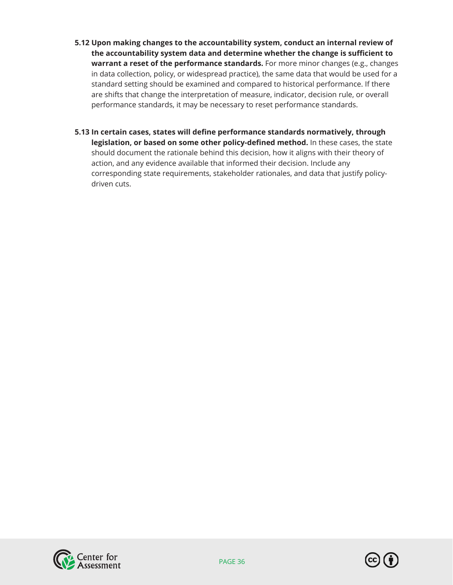- **5.12 Upon making changes to the accountability system, conduct an internal review of the accountability system data and determine whether the change is sufficient to warrant a reset of the performance standards.** For more minor changes (e.g., changes in data collection, policy, or widespread practice), the same data that would be used for a standard setting should be examined and compared to historical performance. If there are shifts that change the interpretation of measure, indicator, decision rule, or overall performance standards, it may be necessary to reset performance standards.
- **5.13 In certain cases, states will define performance standards normatively, through legislation, or based on some other policy-defined method.** In these cases, the state should document the rationale behind this decision, how it aligns with their theory of action, and any evidence available that informed their decision. Include any corresponding state requirements, stakeholder rationales, and data that justify policydriven cuts.



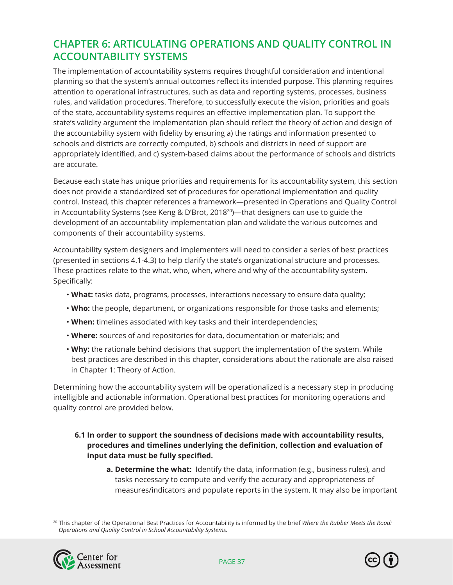# **CHAPTER 6: ARTICULATING OPERATIONS AND QUALITY CONTROL IN ACCOUNTABILITY SYSTEMS**

The implementation of accountability systems requires thoughtful consideration and intentional planning so that the system's annual outcomes reflect its intended purpose. This planning requires attention to operational infrastructures, such as data and reporting systems, processes, business rules, and validation procedures. Therefore, to successfully execute the vision, priorities and goals of the state, accountability systems requires an effective implementation plan. To support the state's validity argument the implementation plan should reflect the theory of action and design of the accountability system with fidelity by ensuring a) the ratings and information presented to schools and districts are correctly computed, b) schools and districts in need of support are appropriately identified, and c) system-based claims about the performance of schools and districts are accurate.

Because each state has unique priorities and requirements for its accountability system, this section does not provide a standardized set of procedures for operational implementation and quality control. Instead, this chapter references a framework—presented in Operations and Quality Control in Accountability Systems (see Keng & D'Brot, 2018<sup>20</sup>)—that designers can use to guide the development of an accountability implementation plan and validate the various outcomes and components of their accountability systems.

Accountability system designers and implementers will need to consider a series of best practices (presented in sections 4.1-4.3) to help clarify the state's organizational structure and processes. These practices relate to the what, who, when, where and why of the accountability system. Specifically:

- **What:** tasks data, programs, processes, interactions necessary to ensure data quality;
- • **Who:** the people, department, or organizations responsible for those tasks and elements;
- **When:** timelines associated with key tasks and their interdependencies;
- • **Where:** sources of and repositories for data, documentation or materials; and
- **Why:** the rationale behind decisions that support the implementation of the system. While best practices are described in this chapter, considerations about the rationale are also raised in Chapter 1: Theory of Action.

Determining how the accountability system will be operationalized is a necessary step in producing intelligible and actionable information. Operational best practices for monitoring operations and quality control are provided below.

## **6.1 In order to support the soundness of decisions made with accountability results, procedures and timelines underlying the definition, collection and evaluation of input data must be fully specified.**

 **a. Determine the what:** Identify the data, information (e.g., business rules), and tasks necessary to compute and verify the accuracy and appropriateness of measures/indicators and populate reports in the system. It may also be important

<sup>20</sup> This chapter of the Operational Best Practices for Accountability is informed by the brief *Where the Rubber Meets the Road: Operations and Quality Control in School Accountability Systems.*



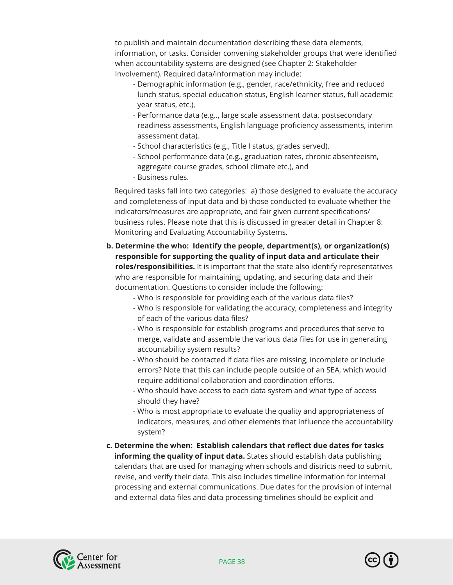to publish and maintain documentation describing these data elements, information, or tasks. Consider convening stakeholder groups that were identified when accountability systems are designed (see Chapter 2: Stakeholder Involvement). Required data/information may include:

- Demographic information (e.g., gender, race/ethnicity, free and reduced lunch status, special education status, English learner status, full academic year status, etc.),
- Performance data (e.g.., large scale assessment data, postsecondary readiness assessments, English language proficiency assessments, interim assessment data),
- School characteristics (e.g., Title I status, grades served),
- School performance data (e.g., graduation rates, chronic absenteeism, aggregate course grades, school climate etc.), and
- Business rules.

 Required tasks fall into two categories: a) those designed to evaluate the accuracy and completeness of input data and b) those conducted to evaluate whether the indicators/measures are appropriate, and fair given current specifications/ business rules. Please note that this is discussed in greater detail in Chapter 8: Monitoring and Evaluating Accountability Systems.

- **b. Determine the who: Identify the people, department(s), or organization(s) responsible for supporting the quality of input data and articulate their roles/responsibilities.** It is important that the state also identify representatives who are responsible for maintaining, updating, and securing data and their documentation. Questions to consider include the following:
	- Who is responsible for providing each of the various data files?
	- Who is responsible for validating the accuracy, completeness and integrity of each of the various data files?
	- Who is responsible for establish programs and procedures that serve to merge, validate and assemble the various data files for use in generating accountability system results?
	- Who should be contacted if data files are missing, incomplete or include errors? Note that this can include people outside of an SEA, which would require additional collaboration and coordination efforts.
	- Who should have access to each data system and what type of access should they have?
	- Who is most appropriate to evaluate the quality and appropriateness of indicators, measures, and other elements that influence the accountability system?
- **c. Determine the when: Establish calendars that reflect due dates for tasks informing the quality of input data.** States should establish data publishing calendars that are used for managing when schools and districts need to submit, revise, and verify their data. This also includes timeline information for internal processing and external communications. Due dates for the provision of internal and external data files and data processing timelines should be explicit and



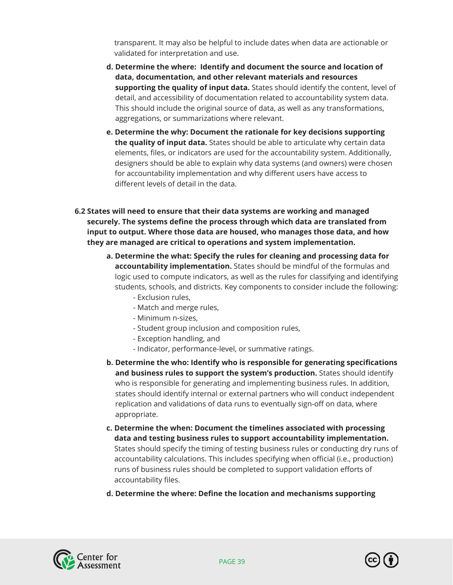transparent. It may also be helpful to include dates when data are actionable or validated for interpretation and use.

- **d. Determine the where: Identify and document the source and location of data, documentation, and other relevant materials and resources supporting the quality of input data.** States should identify the content, level of detail, and accessibility of documentation related to accountability system data. This should include the original source of data, as well as any transformations, aggregations, or summarizations where relevant.
- **e. Determine the why: Document the rationale for key decisions supporting the quality of input data.** States should be able to articulate why certain data elements, files, or indicators are used for the accountability system. Additionally, designers should be able to explain why data systems (and owners) were chosen for accountability implementation and why different users have access to different levels of detail in the data.
- **6.2 States will need to ensure that their data systems are working and managed securely. The systems define the process through which data are translated from input to output. Where those data are housed, who manages those data, and how they are managed are critical to operations and system implementation.** 
	- **a. Determine the what: Specify the rules for cleaning and processing data for accountability implementation.** States should be mindful of the formulas and logic used to compute indicators, as well as the rules for classifying and identifying students, schools, and districts. Key components to consider include the following:
		- Exclusion rules,
		- Match and merge rules,
		- Minimum n-sizes,
		- Student group inclusion and composition rules,
		- Exception handling, and
		- Indicator, performance-level, or summative ratings.
	- **b. Determine the who: Identify who is responsible for generating specifications and business rules to support the system's production.** States should identify who is responsible for generating and implementing business rules. In addition, states should identify internal or external partners who will conduct independent replication and validations of data runs to eventually sign-off on data, where appropriate.
	- **c. Determine the when: Document the timelines associated with processing data and testing business rules to support accountability implementation.**  States should specify the timing of testing business rules or conducting dry runs of accountability calculations. This includes specifying when official (i.e., production) runs of business rules should be completed to support validation efforts of accountability files.
	- **d. Determine the where: Define the location and mechanisms supporting**



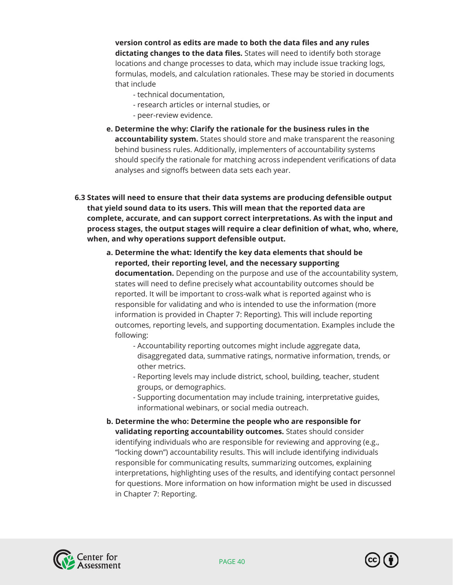**version control as edits are made to both the data files and any rules dictating changes to the data files.** States will need to identify both storage locations and change processes to data, which may include issue tracking logs, formulas, models, and calculation rationales. These may be storied in documents that include

- technical documentation,
- research articles or internal studies, or
- peer-review evidence.
- **e. Determine the why: Clarify the rationale for the business rules in the accountability system.** States should store and make transparent the reasoning behind business rules. Additionally, implementers of accountability systems should specify the rationale for matching across independent verifications of data analyses and signoffs between data sets each year.

 **6.3 States will need to ensure that their data systems are producing defensible output that yield sound data to its users. This will mean that the reported data are complete, accurate, and can support correct interpretations. As with the input and process stages, the output stages will require a clear definition of what, who, where, when, and why operations support defensible output.** 

 **a. Determine the what: Identify the key data elements that should be reported, their reporting level, and the necessary supporting documentation.** Depending on the purpose and use of the accountability system, states will need to define precisely what accountability outcomes should be reported. It will be important to cross-walk what is reported against who is responsible for validating and who is intended to use the information (more information is provided in Chapter 7: Reporting). This will include reporting outcomes, reporting levels, and supporting documentation. Examples include the following:

- Accountability reporting outcomes might include aggregate data, disaggregated data, summative ratings, normative information, trends, or other metrics.
- Reporting levels may include district, school, building, teacher, student groups, or demographics.
- Supporting documentation may include training, interpretative guides, informational webinars, or social media outreach.
- **b. Determine the who: Determine the people who are responsible for validating reporting accountability outcomes.** States should consider identifying individuals who are responsible for reviewing and approving (e.g., "locking down") accountability results. This will include identifying individuals responsible for communicating results, summarizing outcomes, explaining interpretations, highlighting uses of the results, and identifying contact personnel for questions. More information on how information might be used in discussed in Chapter 7: Reporting.



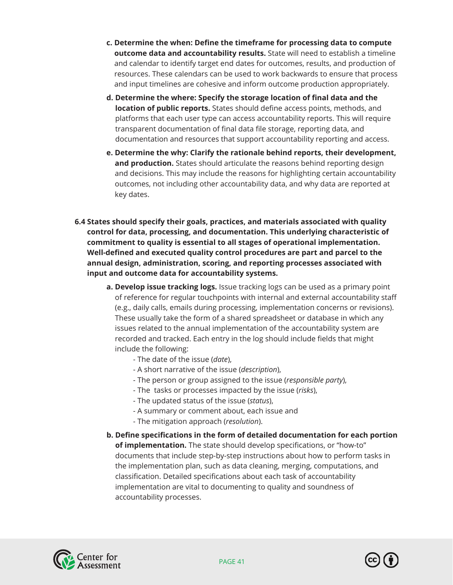- **c. Determine the when: Define the timeframe for processing data to compute outcome data and accountability results.** State will need to establish a timeline and calendar to identify target end dates for outcomes, results, and production of resources. These calendars can be used to work backwards to ensure that process and input timelines are cohesive and inform outcome production appropriately.
- **d. Determine the where: Specify the storage location of final data and the location of public reports.** States should define access points, methods, and platforms that each user type can access accountability reports. This will require transparent documentation of final data file storage, reporting data, and documentation and resources that support accountability reporting and access.
- **e. Determine the why: Clarify the rationale behind reports, their development, and production.** States should articulate the reasons behind reporting design and decisions. This may include the reasons for highlighting certain accountability outcomes, not including other accountability data, and why data are reported at key dates.
- **6.4 States should specify their goals, practices, and materials associated with quality control for data, processing, and documentation. This underlying characteristic of commitment to quality is essential to all stages of operational implementation. Well-defined and executed quality control procedures are part and parcel to the annual design, administration, scoring, and reporting processes associated with input and outcome data for accountability systems.** 
	- **a. Develop issue tracking logs.** Issue tracking logs can be used as a primary point of reference for regular touchpoints with internal and external accountability staff (e.g., daily calls, emails during processing, implementation concerns or revisions). These usually take the form of a shared spreadsheet or database in which any issues related to the annual implementation of the accountability system are recorded and tracked. Each entry in the log should include fields that might include the following:
		- The date of the issue (*date*),
		- A short narrative of the issue (*description*),
		- The person or group assigned to the issue (*responsible party*),
		- The tasks or processes impacted by the issue (*risks*),
		- The updated status of the issue (*status*),
		- A summary or comment about, each issue and
		- The mitigation approach (*resolution*).
	- **b. Define specifications in the form of detailed documentation for each portion of implementation.** The state should develop specifications, or "how-to" documents that include step-by-step instructions about how to perform tasks in the implementation plan, such as data cleaning, merging, computations, and classification. Detailed specifications about each task of accountability implementation are vital to documenting to quality and soundness of accountability processes.



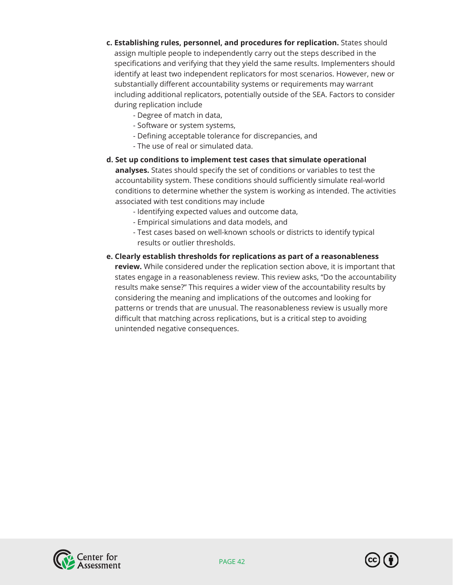- **c. Establishing rules, personnel, and procedures for replication.** States should assign multiple people to independently carry out the steps described in the specifications and verifying that they yield the same results. Implementers should identify at least two independent replicators for most scenarios. However, new or substantially different accountability systems or requirements may warrant including additional replicators, potentially outside of the SEA. Factors to consider during replication include
	- Degree of match in data,
	- Software or system systems,
	- Defining acceptable tolerance for discrepancies, and
	- The use of real or simulated data.
- **d. Set up conditions to implement test cases that simulate operational analyses.** States should specify the set of conditions or variables to test the accountability system. These conditions should sufficiently simulate real-world conditions to determine whether the system is working as intended. The activities associated with test conditions may include
	- Identifying expected values and outcome data,
	- Empirical simulations and data models, and
	- Test cases based on well-known schools or districts to identify typical results or outlier thresholds.
- **e. Clearly establish thresholds for replications as part of a reasonableness review.** While considered under the replication section above, it is important that states engage in a reasonableness review. This review asks, "Do the accountability results make sense?" This requires a wider view of the accountability results by considering the meaning and implications of the outcomes and looking for patterns or trends that are unusual. The reasonableness review is usually more difficult that matching across replications, but is a critical step to avoiding unintended negative consequences.



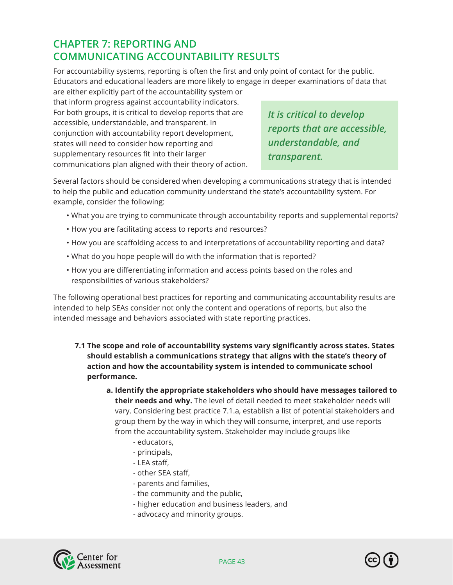# **CHAPTER 7: REPORTING AND COMMUNICATING ACCOUNTABILITY RESULTS**

For accountability systems, reporting is often the first and only point of contact for the public. Educators and educational leaders are more likely to engage in deeper examinations of data that

are either explicitly part of the accountability system or that inform progress against accountability indicators. For both groups, it is critical to develop reports that are accessible, understandable, and transparent. In conjunction with accountability report development, states will need to consider how reporting and supplementary resources fit into their larger communications plan aligned with their theory of action.

*It is critical to develop reports that are accessible, understandable, and transparent.* 

Several factors should be considered when developing a communications strategy that is intended to help the public and education community understand the state's accountability system. For example, consider the following:

- What you are trying to communicate through accountability reports and supplemental reports?
- How you are facilitating access to reports and resources?
- How you are scaffolding access to and interpretations of accountability reporting and data?
- What do you hope people will do with the information that is reported?
- How you are differentiating information and access points based on the roles and responsibilities of various stakeholders?

The following operational best practices for reporting and communicating accountability results are intended to help SEAs consider not only the content and operations of reports, but also the intended message and behaviors associated with state reporting practices.

- **7.1 The scope and role of accountability systems vary significantly across states. States should establish a communications strategy that aligns with the state's theory of action and how the accountability system is intended to communicate school performance.** 
	- **a. Identify the appropriate stakeholders who should have messages tailored to their needs and why.** The level of detail needed to meet stakeholder needs will vary. Considering best practice 7.1.a, establish a list of potential stakeholders and group them by the way in which they will consume, interpret, and use reports from the accountability system. Stakeholder may include groups like
		- educators,
		- principals,
		- LEA staff,
		- other SEA staff,
		- parents and families,
		- the community and the public,
		- higher education and business leaders, and
		- advocacy and minority groups.



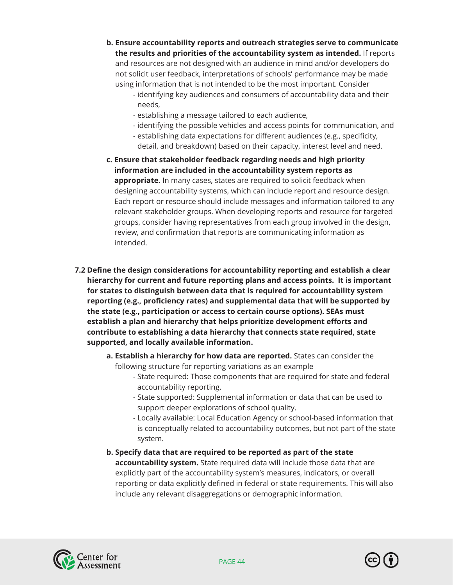- **b. Ensure accountability reports and outreach strategies serve to communicate the results and priorities of the accountability system as intended.** If reports and resources are not designed with an audience in mind and/or developers do not solicit user feedback, interpretations of schools' performance may be made using information that is not intended to be the most important. Consider
	- identifying key audiences and consumers of accountability data and their needs,
	- establishing a message tailored to each audience,
	- identifying the possible vehicles and access points for communication, and
	- establishing data expectations for different audiences (e.g., specificity, detail, and breakdown) based on their capacity, interest level and need.
- **c. Ensure that stakeholder feedback regarding needs and high priority information are included in the accountability system reports as appropriate.** In many cases, states are required to solicit feedback when designing accountability systems, which can include report and resource design. Each report or resource should include messages and information tailored to any relevant stakeholder groups. When developing reports and resource for targeted groups, consider having representatives from each group involved in the design, review, and confirmation that reports are communicating information as intended.
- **7.2 Define the design considerations for accountability reporting and establish a clear hierarchy for current and future reporting plans and access points. It is important for states to distinguish between data that is required for accountability system reporting (e.g., proficiency rates) and supplemental data that will be supported by the state (e.g., participation or access to certain course options). SEAs must establish a plan and hierarchy that helps prioritize development efforts and contribute to establishing a data hierarchy that connects state required, state supported, and locally available information.** 
	- **a. Establish a hierarchy for how data are reported.** States can consider the following structure for reporting variations as an example
		- State required: Those components that are required for state and federal accountability reporting.
		- State supported: Supplemental information or data that can be used to support deeper explorations of school quality.
		- Locally available: Local Education Agency or school-based information that is conceptually related to accountability outcomes, but not part of the state system.
	- **b. Specify data that are required to be reported as part of the state accountability system.** State required data will include those data that are explicitly part of the accountability system's measures, indicators, or overall reporting or data explicitly defined in federal or state requirements. This will also include any relevant disaggregations or demographic information.



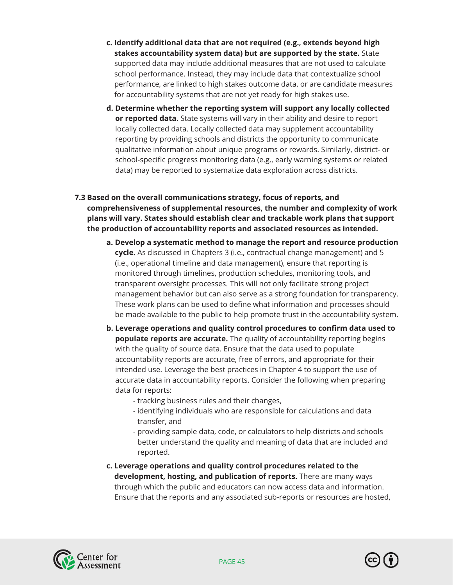- **c. Identify additional data that are not required (e.g., extends beyond high stakes accountability system data) but are supported by the state.** State supported data may include additional measures that are not used to calculate school performance. Instead, they may include data that contextualize school performance, are linked to high stakes outcome data, or are candidate measures for accountability systems that are not yet ready for high stakes use.
- **d. Determine whether the reporting system will support any locally collected or reported data.** State systems will vary in their ability and desire to report locally collected data. Locally collected data may supplement accountability reporting by providing schools and districts the opportunity to communicate qualitative information about unique programs or rewards. Similarly, district- or school-specific progress monitoring data (e.g., early warning systems or related data) may be reported to systematize data exploration across districts.

**7.3 Based on the overall communications strategy, focus of reports, and comprehensiveness of supplemental resources, the number and complexity of work plans will vary. States should establish clear and trackable work plans that support the production of accountability reports and associated resources as intended.**

- **a. Develop a systematic method to manage the report and resource production cycle.** As discussed in Chapters 3 (i.e., contractual change management) and 5 (i.e., operational timeline and data management), ensure that reporting is monitored through timelines, production schedules, monitoring tools, and transparent oversight processes. This will not only facilitate strong project management behavior but can also serve as a strong foundation for transparency. These work plans can be used to define what information and processes should be made available to the public to help promote trust in the accountability system.
- **b. Leverage operations and quality control procedures to confirm data used to populate reports are accurate.** The quality of accountability reporting begins with the quality of source data. Ensure that the data used to populate accountability reports are accurate, free of errors, and appropriate for their intended use. Leverage the best practices in Chapter 4 to support the use of accurate data in accountability reports. Consider the following when preparing data for reports:
	- tracking business rules and their changes,
	- identifying individuals who are responsible for calculations and data transfer, and
	- providing sample data, code, or calculators to help districts and schools better understand the quality and meaning of data that are included and reported.
- **c. Leverage operations and quality control procedures related to the development, hosting, and publication of reports.** There are many ways through which the public and educators can now access data and information. Ensure that the reports and any associated sub-reports or resources are hosted,



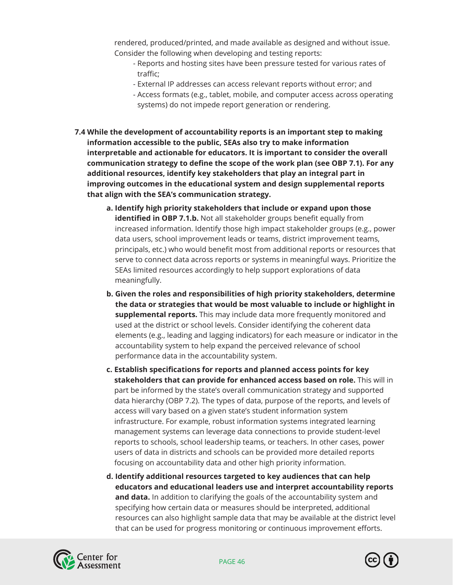rendered, produced/printed, and made available as designed and without issue. Consider the following when developing and testing reports:

- Reports and hosting sites have been pressure tested for various rates of traffic;
- External IP addresses can access relevant reports without error; and
- Access formats (e.g., tablet, mobile, and computer access across operating systems) do not impede report generation or rendering.
- **7.4 While the development of accountability reports is an important step to making information accessible to the public, SEAs also try to make information interpretable and actionable for educators. It is important to consider the overall communication strategy to define the scope of the work plan (see OBP 7.1). For any additional resources, identify key stakeholders that play an integral part in improving outcomes in the educational system and design supplemental reports that align with the SEA's communication strategy.** 
	- **a. Identify high priority stakeholders that include or expand upon those identified in OBP 7.1.b.** Not all stakeholder groups benefit equally from increased information. Identify those high impact stakeholder groups (e.g., power data users, school improvement leads or teams, district improvement teams, principals, etc.) who would benefit most from additional reports or resources that serve to connect data across reports or systems in meaningful ways. Prioritize the SEAs limited resources accordingly to help support explorations of data meaningfully.
	- **b. Given the roles and responsibilities of high priority stakeholders, determine the data or strategies that would be most valuable to include or highlight in supplemental reports.** This may include data more frequently monitored and used at the district or school levels. Consider identifying the coherent data elements (e.g., leading and lagging indicators) for each measure or indicator in the accountability system to help expand the perceived relevance of school performance data in the accountability system.
	- **c. Establish specifications for reports and planned access points for key stakeholders that can provide for enhanced access based on role.** This will in part be informed by the state's overall communication strategy and supported data hierarchy (OBP 7.2). The types of data, purpose of the reports, and levels of access will vary based on a given state's student information system infrastructure. For example, robust information systems integrated learning management systems can leverage data connections to provide student-level reports to schools, school leadership teams, or teachers. In other cases, power users of data in districts and schools can be provided more detailed reports focusing on accountability data and other high priority information.
	- **d. Identify additional resources targeted to key audiences that can help educators and educational leaders use and interpret accountability reports and data.** In addition to clarifying the goals of the accountability system and specifying how certain data or measures should be interpreted, additional resources can also highlight sample data that may be available at the district level that can be used for progress monitoring or continuous improvement efforts.



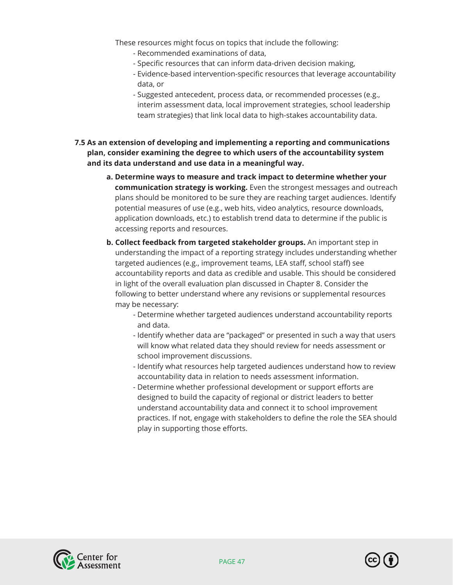These resources might focus on topics that include the following:

- Recommended examinations of data,
- Specific resources that can inform data-driven decision making,
- Evidence-based intervention-specific resources that leverage accountability data, or
- Suggested antecedent, process data, or recommended processes (e.g., interim assessment data, local improvement strategies, school leadership team strategies) that link local data to high-stakes accountability data.

## **7.5 As an extension of developing and implementing a reporting and communications plan, consider examining the degree to which users of the accountability system and its data understand and use data in a meaningful way.**

- **a. Determine ways to measure and track impact to determine whether your communication strategy is working.** Even the strongest messages and outreach plans should be monitored to be sure they are reaching target audiences. Identify potential measures of use (e.g., web hits, video analytics, resource downloads, application downloads, etc.) to establish trend data to determine if the public is accessing reports and resources.
- **b. Collect feedback from targeted stakeholder groups.** An important step in understanding the impact of a reporting strategy includes understanding whether targeted audiences (e.g., improvement teams, LEA staff, school staff) see accountability reports and data as credible and usable. This should be considered in light of the overall evaluation plan discussed in Chapter 8. Consider the following to better understand where any revisions or supplemental resources may be necessary:
	- Determine whether targeted audiences understand accountability reports and data.
	- Identify whether data are "packaged" or presented in such a way that users will know what related data they should review for needs assessment or school improvement discussions.
	- Identify what resources help targeted audiences understand how to review accountability data in relation to needs assessment information.
	- Determine whether professional development or support efforts are designed to build the capacity of regional or district leaders to better understand accountability data and connect it to school improvement practices. If not, engage with stakeholders to define the role the SEA should play in supporting those efforts.



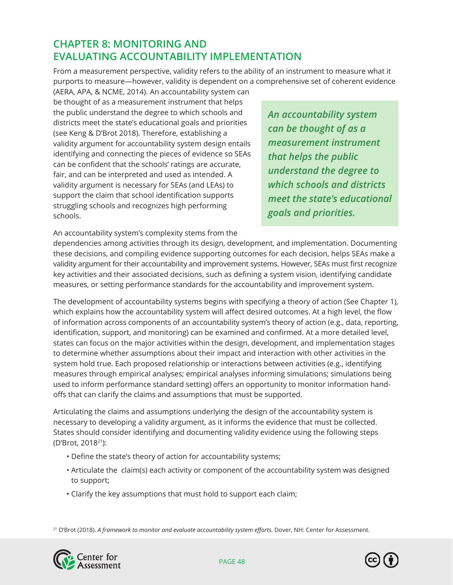# **CHAPTER 8: MONITORING AND EVALUATING ACCOUNTABILITY IMPLEMENTATION**

From a measurement perspective, validity refers to the ability of an instrument to measure what it purports to measure—however, validity is dependent on a comprehensive set of coherent evidence

(AERA, APA, & NCME, 2014). An accountability system can be thought of as a measurement instrument that helps the public understand the degree to which schools and districts meet the state's educational goals and priorities (see Keng & D'Brot 2018). Therefore, establishing a validity argument for accountability system design entails identifying and connecting the pieces of evidence so SEAs can be confident that the schools' ratings are accurate, fair, and can be interpreted and used as intended. A validity argument is necessary for SEAs (and LEAs) to support the claim that school identification supports struggling schools and recognizes high performing schools.

*An accountability system can be thought of as a measurement instrument that helps the public understand the degree to which schools and districts meet the state's educational goals and priorities.* 

An accountability system's complexity stems from the

dependencies among activities through its design, development, and implementation. Documenting these decisions, and compiling evidence supporting outcomes for each decision, helps SEAs make a validity argument for their accountability and improvement systems. However, SEAs must first recognize key activities and their associated decisions, such as defining a system vision, identifying candidate measures, or setting performance standards for the accountability and improvement system.

The development of accountability systems begins with specifying a theory of action (See Chapter 1), which explains how the accountability system will affect desired outcomes. At a high level, the flow of information across components of an accountability system's theory of action (e.g., data, reporting, identification, support, and monitoring) can be examined and confirmed. At a more detailed level, states can focus on the major activities within the design, development, and implementation stages to determine whether assumptions about their impact and interaction with other activities in the system hold true. Each proposed relationship or interactions between activities (e.g., identifying measures through empirical analyses; empirical analyses informing simulations; simulations being used to inform performance standard setting) offers an opportunity to monitor information handoffs that can clarify the claims and assumptions that must be supported.

Articulating the claims and assumptions underlying the design of the accountability system is necessary to developing a validity argument, as it informs the evidence that must be collected. States should consider identifying and documenting validity evidence using the following steps (D'Brot, 2018<sup>21</sup>):

- Define the state's theory of action for accountability systems;
- Articulate the claim(s) each activity or component of the accountability system was designed to support;
- Clarify the key assumptions that must hold to support each claim;

21 D'Brot (2018). *A framework to monitor and evaluate accountability system efforts.* Dover, NH: Center for Assessment.



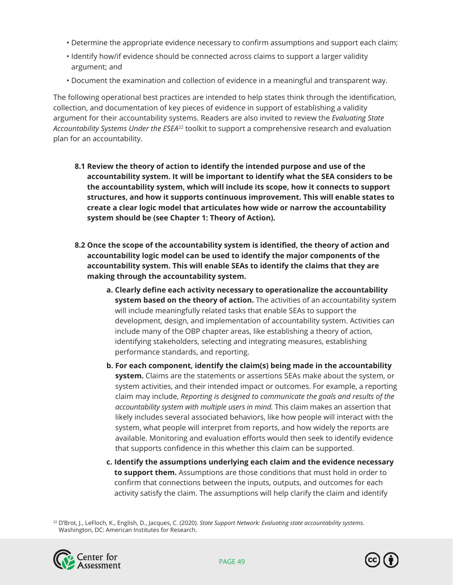- Determine the appropriate evidence necessary to confirm assumptions and support each claim;
- Identify how/if evidence should be connected across claims to support a larger validity argument; and
- Document the examination and collection of evidence in a meaningful and transparent way.

The following operational best practices are intended to help states think through the identification, collection, and documentation of key pieces of evidence in support of establishing a validity argument for their accountability systems. Readers are also invited to review the *Evaluating State Accountability Systems Under the ESEA*22 toolkit to support a comprehensive research and evaluation plan for an accountability.

- **8.1 Review the theory of action to identify the intended purpose and use of the accountability system. It will be important to identify what the SEA considers to be the accountability system, which will include its scope, how it connects to support structures, and how it supports continuous improvement. This will enable states to create a clear logic model that articulates how wide or narrow the accountability system should be (see Chapter 1: Theory of Action).**
- **8.2 Once the scope of the accountability system is identified, the theory of action and accountability logic model can be used to identify the major components of the accountability system. This will enable SEAs to identify the claims that they are making through the accountability system.** 
	- **a. Clearly define each activity necessary to operationalize the accountability system based on the theory of action.** The activities of an accountability system will include meaningfully related tasks that enable SEAs to support the development, design, and implementation of accountability system. Activities can include many of the OBP chapter areas, like establishing a theory of action, identifying stakeholders, selecting and integrating measures, establishing performance standards, and reporting.
	- **b. For each component, identify the claim(s) being made in the accountability system.** Claims are the statements or assertions SEAs make about the system, or system activities, and their intended impact or outcomes. For example, a reporting claim may include, *Reporting is designed to communicate the goals and results of the accountability system with multiple users in mind.* This claim makes an assertion that likely includes several associated behaviors, like how people will interact with the system, what people will interpret from reports, and how widely the reports are available. Monitoring and evaluation efforts would then seek to identify evidence that supports confidence in this whether this claim can be supported.
	- **c. Identify the assumptions underlying each claim and the evidence necessary to support them.** Assumptions are those conditions that must hold in order to confirm that connections between the inputs, outputs, and outcomes for each activity satisfy the claim. The assumptions will help clarify the claim and identify

<sup>22</sup> D'Brot, J., LeFloch, K., English, D., Jacques, C. (2020). *State Support Network: Evaluating state accountability systems.*  Washington, DC: American Institutes for Research.



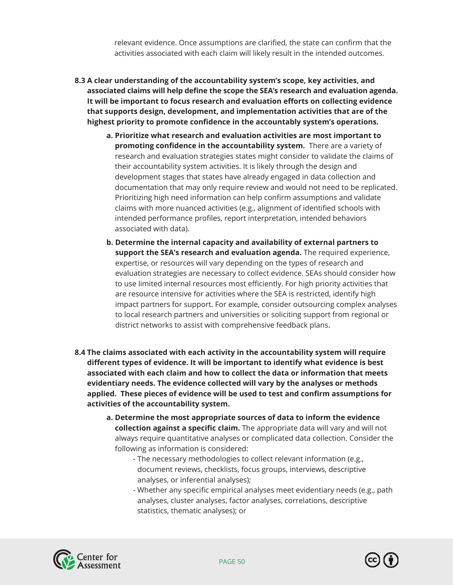relevant evidence. Once assumptions are clarified, the state can confirm that the activities associated with each claim will likely result in the intended outcomes.

- **8.3 A clear understanding of the accountability system's scope, key activities, and associated claims will help define the scope the SEA's research and evaluation agenda. It will be important to focus research and evaluation efforts on collecting evidence that supports design, development, and implementation activities that are of the highest priority to promote confidence in the accountably system's operations.**
	- **a. Prioritize what research and evaluation activities are most important to promoting confidence in the accountability system.** There are a variety of research and evaluation strategies states might consider to validate the claims of their accountability system activities. It is likely through the design and development stages that states have already engaged in data collection and documentation that may only require review and would not need to be replicated. Prioritizing high need information can help confirm assumptions and validate claims with more nuanced activities (e.g., alignment of identified schools with intended performance profiles, report interpretation, intended behaviors associated with data).
	- **b. Determine the internal capacity and availability of external partners to support the SEA's research and evaluation agenda.** The required experience, expertise, or resources will vary depending on the types of research and evaluation strategies are necessary to collect evidence. SEAs should consider how to use limited internal resources most efficiently. For high priority activities that are resource intensive for activities where the SEA is restricted, identify high impact partners for support. For example, consider outsourcing complex analyses to local research partners and universities or soliciting support from regional or district networks to assist with comprehensive feedback plans.
- **8.4 The claims associated with each activity in the accountability system will require different types of evidence. It will be important to identify what evidence is best associated with each claim and how to collect the data or information that meets evidentiary needs. The evidence collected will vary by the analyses or methods applied. These pieces of evidence will be used to test and confirm assumptions for activities of the accountability system.** 
	- **a. Determine the most appropriate sources of data to inform the evidence collection against a specific claim.** The appropriate data will vary and will not always require quantitative analyses or complicated data collection. Consider the following as information is considered:
		- The necessary methodologies to collect relevant information (e.g., document reviews, checklists, focus groups, interviews, descriptive analyses, or inferential analyses);
		- Whether any specific empirical analyses meet evidentiary needs (e.g., path analyses, cluster analyses, factor analyses, correlations, descriptive statistics, thematic analyses); or



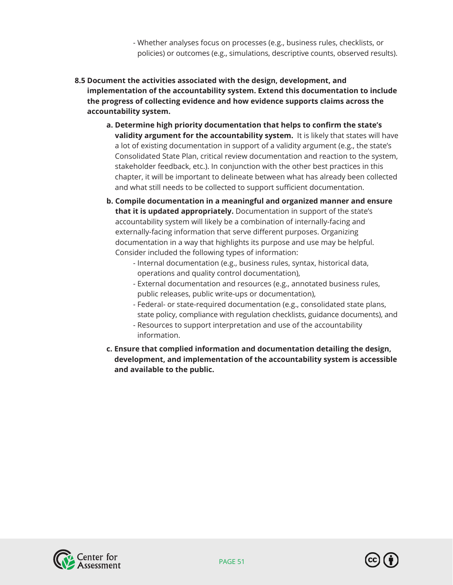- Whether analyses focus on processes (e.g., business rules, checklists, or policies) or outcomes (e.g., simulations, descriptive counts, observed results).

**8.5 Document the activities associated with the design, development, and implementation of the accountability system. Extend this documentation to include the progress of collecting evidence and how evidence supports claims across the accountability system.** 

- **a. Determine high priority documentation that helps to confirm the state's validity argument for the accountability system.** It is likely that states will have a lot of existing documentation in support of a validity argument (e.g., the state's Consolidated State Plan, critical review documentation and reaction to the system, stakeholder feedback, etc.). In conjunction with the other best practices in this chapter, it will be important to delineate between what has already been collected and what still needs to be collected to support sufficient documentation.
- **b. Compile documentation in a meaningful and organized manner and ensure that it is updated appropriately.** Documentation in support of the state's accountability system will likely be a combination of internally-facing and externally-facing information that serve different purposes. Organizing documentation in a way that highlights its purpose and use may be helpful. Consider included the following types of information:
	- Internal documentation (e.g., business rules, syntax, historical data, operations and quality control documentation),
	- External documentation and resources (e.g., annotated business rules, public releases, public write-ups or documentation),
	- Federal- or state-required documentation (e.g., consolidated state plans, state policy, compliance with regulation checklists, guidance documents), and
	- Resources to support interpretation and use of the accountability information.
- **c. Ensure that complied information and documentation detailing the design, development, and implementation of the accountability system is accessible and available to the public.**



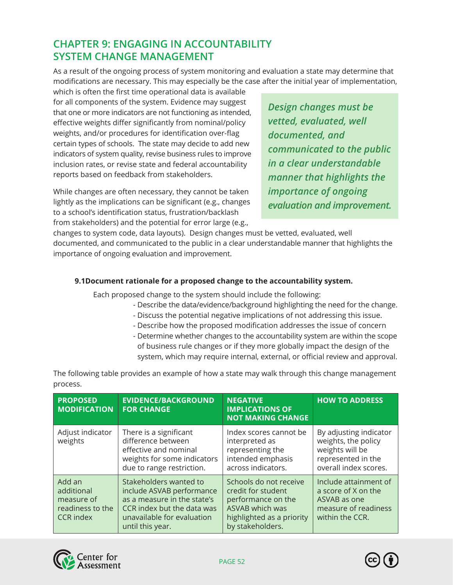# **CHAPTER 9: ENGAGING IN ACCOUNTABILITY SYSTEM CHANGE MANAGEMENT**

As a result of the ongoing process of system monitoring and evaluation a state may determine that modifications are necessary. This may especially be the case after the initial year of implementation,

which is often the first time operational data is available for all components of the system. Evidence may suggest that one or more indicators are not functioning as intended, effective weights differ significantly from nominal/policy weights, and/or procedures for identification over-flag certain types of schools. The state may decide to add new indicators of system quality, revise business rules to improve inclusion rates, or revise state and federal accountability reports based on feedback from stakeholders.

While changes are often necessary, they cannot be taken lightly as the implications can be significant (e.g., changes to a school's identification status, frustration/backlash from stakeholders) and the potential for error large (e.g.,

*Design changes must be vetted, evaluated, well documented, and communicated to the public in a clear understandable manner that highlights the importance of ongoing evaluation and improvement.* 

changes to system code, data layouts). Design changes must be vetted, evaluated, well documented, and communicated to the public in a clear understandable manner that highlights the importance of ongoing evaluation and improvement.

## **9.1Document rationale for a proposed change to the accountability system.**

Each proposed change to the system should include the following:

- Describe the data/evidence/background highlighting the need for the change.
	- Discuss the potential negative implications of not addressing this issue.
	- Describe how the proposed modification addresses the issue of concern
	- Determine whether changes to the accountability system are within the scope of business rule changes or if they more globally impact the design of the system, which may require internal, external, or official review and approval.

| <b>PROPOSED</b><br><b>MODIFICATION</b>                                     | <b>EVIDENCE/BACKGROUND</b><br><b>FOR CHANGE</b>                                                                                                                    | <b>NEGATIVE</b><br><b>IMPLICATIONS OF</b><br><b>NOT MAKING CHANGE</b>                                                                         | <b>HOW TO ADDRESS</b>                                                                                           |
|----------------------------------------------------------------------------|--------------------------------------------------------------------------------------------------------------------------------------------------------------------|-----------------------------------------------------------------------------------------------------------------------------------------------|-----------------------------------------------------------------------------------------------------------------|
| Adjust indicator<br>weights                                                | There is a significant<br>difference between<br>effective and nominal<br>weights for some indicators<br>due to range restriction.                                  | Index scores cannot be<br>interpreted as<br>representing the<br>intended emphasis<br>across indicators.                                       | By adjusting indicator<br>weights, the policy<br>weights will be<br>represented in the<br>overall index scores. |
| Add an<br>additional<br>measure of<br>readiness to the<br><b>CCR</b> index | Stakeholders wanted to<br>include ASVAB performance<br>as a measure in the state's<br>CCR index but the data was<br>unavailable for evaluation<br>until this year. | Schools do not receive<br>credit for student<br>performance on the<br><b>ASVAB</b> which was<br>highlighted as a priority<br>by stakeholders. | Include attainment of<br>a score of X on the<br>ASVAB as one<br>measure of readiness<br>within the CCR.         |

The following table provides an example of how a state may walk through this change management process.



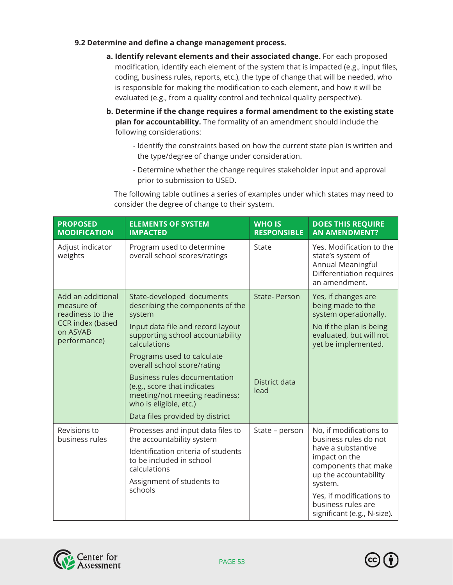#### **9.2 Determine and define a change management process.**

- **a. Identify relevant elements and their associated change.** For each proposed modification, identify each element of the system that is impacted (e.g., input files, coding, business rules, reports, etc.), the type of change that will be needed, who is responsible for making the modification to each element, and how it will be evaluated (e.g., from a quality control and technical quality perspective).
- **b. Determine if the change requires a formal amendment to the existing state plan for accountability.** The formality of an amendment should include the following considerations:
	- Identify the constraints based on how the current state plan is written and the type/degree of change under consideration.
	- Determine whether the change requires stakeholder input and approval prior to submission to USED.

 The following table outlines a series of examples under which states may need to consider the degree of change to their system.

| <b>PROPOSED</b><br><b>MODIFICATION</b>                                                                     | <b>ELEMENTS OF SYSTEM</b><br><b>IMPACTED</b>                                                                                                                                                                                                                                                                                                                                                       | <b>WHO IS</b><br><b>RESPONSIBLE</b>          | <b>DOES THIS REQUIRE</b><br><b>AN AMENDMENT?</b>                                                                                                                                                                                     |
|------------------------------------------------------------------------------------------------------------|----------------------------------------------------------------------------------------------------------------------------------------------------------------------------------------------------------------------------------------------------------------------------------------------------------------------------------------------------------------------------------------------------|----------------------------------------------|--------------------------------------------------------------------------------------------------------------------------------------------------------------------------------------------------------------------------------------|
| Adjust indicator<br>weights                                                                                | Program used to determine<br>overall school scores/ratings                                                                                                                                                                                                                                                                                                                                         | <b>State</b>                                 | Yes. Modification to the<br>state's system of<br>Annual Meaningful<br>Differentiation requires<br>an amendment.                                                                                                                      |
| Add an additional<br>measure of<br>readiness to the<br><b>CCR</b> index (based<br>on ASVAB<br>performance) | State-developed documents<br>describing the components of the<br>system<br>Input data file and record layout<br>supporting school accountability<br>calculations<br>Programs used to calculate<br>overall school score/rating<br><b>Business rules documentation</b><br>(e.g., score that indicates<br>meeting/not meeting readiness;<br>who is eligible, etc.)<br>Data files provided by district | <b>State-Person</b><br>District data<br>lead | Yes, if changes are<br>being made to the<br>system operationally.<br>No if the plan is being<br>evaluated, but will not<br>yet be implemented.                                                                                       |
| Revisions to<br>business rules                                                                             | Processes and input data files to<br>the accountability system<br>Identification criteria of students<br>to be included in school<br>calculations<br>Assignment of students to<br>schools                                                                                                                                                                                                          | State - person                               | No, if modifications to<br>business rules do not<br>have a substantive<br>impact on the<br>components that make<br>up the accountability<br>system.<br>Yes, if modifications to<br>business rules are<br>significant (e.g., N-size). |



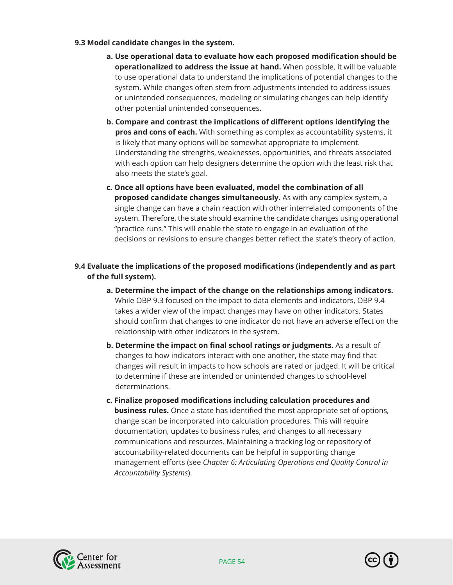#### **9.3 Model candidate changes in the system.**

- **a. Use operational data to evaluate how each proposed modification should be operationalized to address the issue at hand.** When possible, it will be valuable to use operational data to understand the implications of potential changes to the system. While changes often stem from adjustments intended to address issues or unintended consequences, modeling or simulating changes can help identify other potential unintended consequences.
- **b. Compare and contrast the implications of different options identifying the pros and cons of each.** With something as complex as accountability systems, it is likely that many options will be somewhat appropriate to implement. Understanding the strengths, weaknesses, opportunities, and threats associated with each option can help designers determine the option with the least risk that also meets the state's goal.
- **c. Once all options have been evaluated, model the combination of all proposed candidate changes simultaneously.** As with any complex system, a single change can have a chain reaction with other interrelated components of the system. Therefore, the state should examine the candidate changes using operational "practice runs." This will enable the state to engage in an evaluation of the decisions or revisions to ensure changes better reflect the state's theory of action.

## **9.4 Evaluate the implications of the proposed modifications (independently and as part of the full system).**

- **a. Determine the impact of the change on the relationships among indicators.** While OBP 9.3 focused on the impact to data elements and indicators, OBP 9.4 takes a wider view of the impact changes may have on other indicators. States should confirm that changes to one indicator do not have an adverse effect on the relationship with other indicators in the system.
- **b. Determine the impact on final school ratings or judgments.** As a result of changes to how indicators interact with one another, the state may find that changes will result in impacts to how schools are rated or judged. It will be critical to determine if these are intended or unintended changes to school-level determinations.
- **c. Finalize proposed modifications including calculation procedures and business rules.** Once a state has identified the most appropriate set of options, change scan be incorporated into calculation procedures. This will require documentation, updates to business rules, and changes to all necessary communications and resources. Maintaining a tracking log or repository of accountability-related documents can be helpful in supporting change management efforts (see *Chapter 6: Articulating Operations and Quality Control in Accountability Systems*).



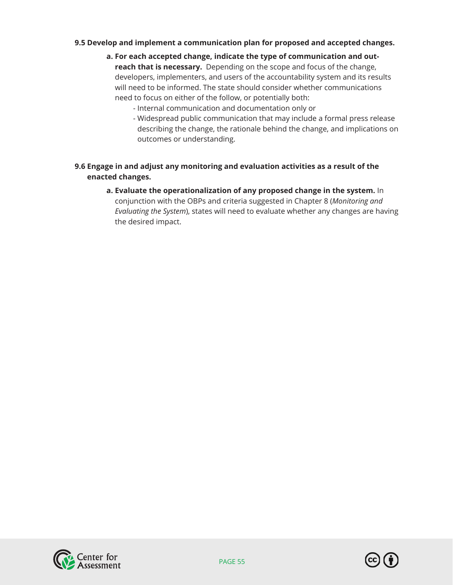### **9.5 Develop and implement a communication plan for proposed and accepted changes.**

## **a. For each accepted change, indicate the type of communication and outreach that is necessary.** Depending on the scope and focus of the change, developers, implementers, and users of the accountability system and its results will need to be informed. The state should consider whether communications need to focus on either of the follow, or potentially both:

- Internal communication and documentation only or
- Widespread public communication that may include a formal press release describing the change, the rationale behind the change, and implications on outcomes or understanding.

## **9.6 Engage in and adjust any monitoring and evaluation activities as a result of the enacted changes.**

 **a. Evaluate the operationalization of any proposed change in the system.** In conjunction with the OBPs and criteria suggested in Chapter 8 (*Monitoring and Evaluating the System*), states will need to evaluate whether any changes are having the desired impact.



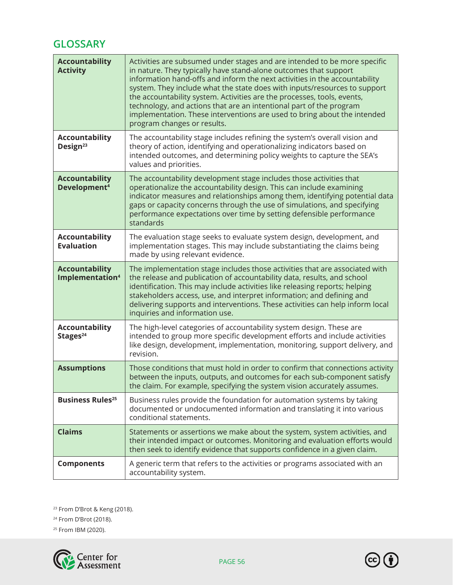# **GLOSSARY**

| <b>Accountability</b><br><b>Activity</b>             | Activities are subsumed under stages and are intended to be more specific<br>in nature. They typically have stand-alone outcomes that support<br>information hand-offs and inform the next activities in the accountability<br>system. They include what the state does with inputs/resources to support<br>the accountability system. Activities are the processes, tools, events,<br>technology, and actions that are an intentional part of the program<br>implementation. These interventions are used to bring about the intended<br>program changes or results. |
|------------------------------------------------------|-----------------------------------------------------------------------------------------------------------------------------------------------------------------------------------------------------------------------------------------------------------------------------------------------------------------------------------------------------------------------------------------------------------------------------------------------------------------------------------------------------------------------------------------------------------------------|
| <b>Accountability</b><br>Design <sup>23</sup>        | The accountability stage includes refining the system's overall vision and<br>theory of action, identifying and operationalizing indicators based on<br>intended outcomes, and determining policy weights to capture the SEA's<br>values and priorities.                                                                                                                                                                                                                                                                                                              |
| <b>Accountability</b><br>Development <sup>4</sup>    | The accountability development stage includes those activities that<br>operationalize the accountability design. This can include examining<br>indicator measures and relationships among them, identifying potential data<br>gaps or capacity concerns through the use of simulations, and specifying<br>performance expectations over time by setting defensible performance<br>standards                                                                                                                                                                           |
| <b>Accountability</b><br><b>Evaluation</b>           | The evaluation stage seeks to evaluate system design, development, and<br>implementation stages. This may include substantiating the claims being<br>made by using relevant evidence.                                                                                                                                                                                                                                                                                                                                                                                 |
| <b>Accountability</b><br>Implementation <sup>4</sup> | The implementation stage includes those activities that are associated with<br>the release and publication of accountability data, results, and school<br>identification. This may include activities like releasing reports; helping<br>stakeholders access, use, and interpret information; and defining and<br>delivering supports and interventions. These activities can help inform local<br>inquiries and information use.                                                                                                                                     |
| <b>Accountability</b><br>Stages <sup>24</sup>        | The high-level categories of accountability system design. These are<br>intended to group more specific development efforts and include activities<br>like design, development, implementation, monitoring, support delivery, and<br>revision.                                                                                                                                                                                                                                                                                                                        |
| <b>Assumptions</b>                                   | Those conditions that must hold in order to confirm that connections activity<br>between the inputs, outputs, and outcomes for each sub-component satisfy<br>the claim. For example, specifying the system vision accurately assumes.                                                                                                                                                                                                                                                                                                                                 |
| <b>Business Rules<sup>25</sup></b>                   | Business rules provide the foundation for automation systems by taking<br>documented or undocumented information and translating it into various<br>conditional statements.                                                                                                                                                                                                                                                                                                                                                                                           |
| <b>Claims</b>                                        | Statements or assertions we make about the system, system activities, and<br>their intended impact or outcomes. Monitoring and evaluation efforts would<br>then seek to identify evidence that supports confidence in a given claim.                                                                                                                                                                                                                                                                                                                                  |
| <b>Components</b>                                    | A generic term that refers to the activities or programs associated with an<br>accountability system.                                                                                                                                                                                                                                                                                                                                                                                                                                                                 |

<sup>23</sup> From D'Brot & Keng (2018).

<sup>24</sup> From D'Brot (2018).

25 From IBM (2020).

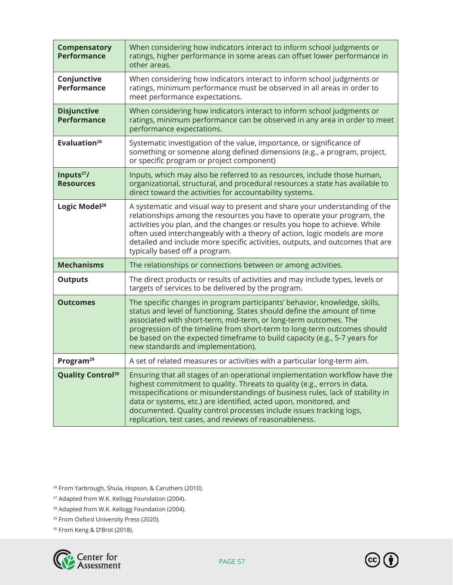| <b>Compensatory</b><br><b>Performance</b>  | When considering how indicators interact to inform school judgments or<br>ratings, higher performance in some areas can offset lower performance in<br>other areas.                                                                                                                                                                                                                                                                              |
|--------------------------------------------|--------------------------------------------------------------------------------------------------------------------------------------------------------------------------------------------------------------------------------------------------------------------------------------------------------------------------------------------------------------------------------------------------------------------------------------------------|
| Conjunctive<br><b>Performance</b>          | When considering how indicators interact to inform school judgments or<br>ratings, minimum performance must be observed in all areas in order to<br>meet performance expectations.                                                                                                                                                                                                                                                               |
| <b>Disjunctive</b><br><b>Performance</b>   | When considering how indicators interact to inform school judgments or<br>ratings, minimum performance can be observed in any area in order to meet<br>performance expectations.                                                                                                                                                                                                                                                                 |
| Evaluation <sup>26</sup>                   | Systematic investigation of the value, importance, or significance of<br>something or someone along defined dimensions (e.g., a program, project,<br>or specific program or project component)                                                                                                                                                                                                                                                   |
| Inputs <sup>27</sup> /<br><b>Resources</b> | Inputs, which may also be referred to as resources, include those human,<br>organizational, structural, and procedural resources a state has available to<br>direct toward the activities for accountability systems.                                                                                                                                                                                                                            |
| Logic Model <sup>28</sup>                  | A systematic and visual way to present and share your understanding of the<br>relationships among the resources you have to operate your program, the<br>activities you plan, and the changes or results you hope to achieve. While<br>often used interchangeably with a theory of action, logic models are more<br>detailed and include more specific activities, outputs, and outcomes that are<br>typically based off a program.              |
| <b>Mechanisms</b>                          | The relationships or connections between or among activities.                                                                                                                                                                                                                                                                                                                                                                                    |
| <b>Outputs</b>                             | The direct products or results of activities and may include types, levels or<br>targets of services to be delivered by the program.                                                                                                                                                                                                                                                                                                             |
| <b>Outcomes</b>                            | The specific changes in program participants' behavior, knowledge, skills,<br>status and level of functioning. States should define the amount of time<br>associated with short-term, mid-term, or long-term outcomes. The<br>progression of the timeline from short-term to long-term outcomes should<br>be based on the expected timeframe to build capacity (e.g., 5-7 years for<br>new standards and implementation).                        |
| Program <sup>29</sup>                      | A set of related measures or activities with a particular long-term aim.                                                                                                                                                                                                                                                                                                                                                                         |
| <b>Quality Control</b> <sup>30</sup>       | Ensuring that all stages of an operational implementation workflow have the<br>highest commitment to quality. Threats to quality (e.g., errors in data,<br>misspecifications or misunderstandings of business rules, lack of stability in<br>data or systems, etc.) are identified, acted upon, monitored, and<br>documented. Quality control processes include issues tracking logs,<br>replication, test cases, and reviews of reasonableness. |

<sup>26</sup> From Yarbrough, Shula, Hopson, & Caruthers (2010).

27 Adapted from W.K. Kellogg Foundation (2004).

28 Adapted from W.K. Kellogg Foundation (2004).

29 From Oxford University Press (2020).

30 From Keng & D'Brot (2018).



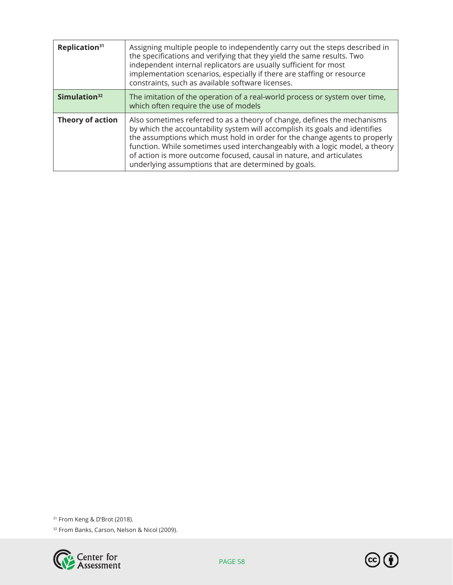| Replication <sup>31</sup> | Assigning multiple people to independently carry out the steps described in<br>the specifications and verifying that they yield the same results. Two<br>independent internal replicators are usually sufficient for most<br>implementation scenarios, especially if there are staffing or resource<br>constraints, such as available software licenses.                                                                                             |
|---------------------------|------------------------------------------------------------------------------------------------------------------------------------------------------------------------------------------------------------------------------------------------------------------------------------------------------------------------------------------------------------------------------------------------------------------------------------------------------|
| Simulation $32$           | The imitation of the operation of a real-world process or system over time,<br>which often require the use of models                                                                                                                                                                                                                                                                                                                                 |
| Theory of action          | Also sometimes referred to as a theory of change, defines the mechanisms<br>by which the accountability system will accomplish its goals and identifies<br>the assumptions which must hold in order for the change agents to properly<br>function. While sometimes used interchangeably with a logic model, a theory<br>of action is more outcome focused, causal in nature, and articulates<br>underlying assumptions that are determined by goals. |

<sup>31</sup> From Keng & D'Brot (2018).

32 From Banks, Carson, Nelson & Nicol (2009).



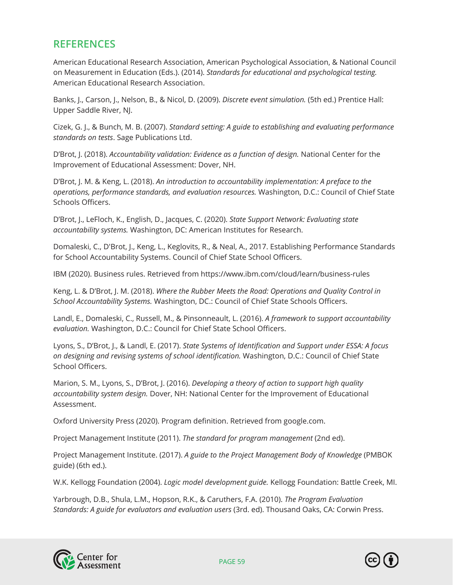# **REFERENCES**

American Educational Research Association, American Psychological Association, & National Council on Measurement in Education (Eds.). (2014). *Standards for educational and psychological testing.* American Educational Research Association.

Banks, J., Carson, J., Nelson, B., & Nicol, D. (2009). *Discrete event simulation.* (5th ed.) Prentice Hall: Upper Saddle River, NJ.

Cizek, G. J., & Bunch, M. B. (2007). *Standard setting: A guide to establishing and evaluating performance standards on tests*. Sage Publications Ltd.

D'Brot, J. (2018). *Accountability validation: Evidence as a function of design.* National Center for the Improvement of Educational Assessment: Dover, NH.

D'Brot, J. M. & Keng, L. (2018). *An introduction to accountability implementation: A preface to the operations, performance standards, and evaluation resources.* Washington, D.C.: Council of Chief State Schools Officers.

D'Brot, J., LeFloch, K., English, D., Jacques, C. (2020). *State Support Network: Evaluating state accountability systems.* Washington, DC: American Institutes for Research.

Domaleski, C., D'Brot, J., Keng, L., Keglovits, R., & Neal, A., 2017. Establishing Performance Standards for School Accountability Systems. Council of Chief State School Officers.

IBM (2020). Business rules. Retrieved from https://www.ibm.com/cloud/learn/business-rules

Keng, L. & D'Brot, J. M. (2018). *Where the Rubber Meets the Road: Operations and Quality Control in School Accountability Systems.* Washington, DC.: Council of Chief State Schools Officers.

Landl, E., Domaleski, C., Russell, M., & Pinsonneault, L. (2016). *A framework to support accountability evaluation.* Washington, D.C.: Council for Chief State School Officers.

Lyons, S., D'Brot, J., & Landl, E. (2017). *State Systems of Identification and Support under ESSA: A focus on designing and revising systems of school identification.* Washington, D.C.: Council of Chief State School Officers.

Marion, S. M., Lyons, S., D'Brot, J. (2016). *Developing a theory of action to support high quality accountability system design.* Dover, NH: National Center for the Improvement of Educational Assessment.

Oxford University Press (2020). Program definition. Retrieved from google.com.

Project Management Institute (2011). *The standard for program management* (2nd ed).

Project Management Institute. (2017). *A guide to the Project Management Body of Knowledge* (PMBOK guide) (6th ed.).

W.K. Kellogg Foundation (2004). *Logic model development guide.* Kellogg Foundation: Battle Creek, MI.

Yarbrough, D.B., Shula, L.M., Hopson, R.K., & Caruthers, F.A. (2010). *The Program Evaluation Standards: A guide for evaluators and evaluation users* (3rd. ed). Thousand Oaks, CA: Corwin Press.



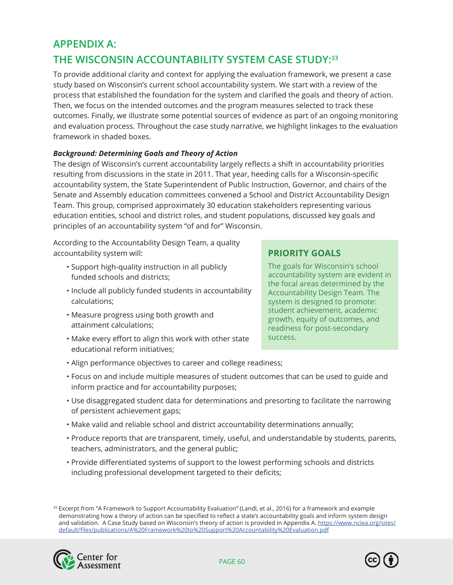# **APPENDIX A:**

# **THE WISCONSIN ACCOUNTABILITY SYSTEM CASE STUDY:33**

To provide additional clarity and context for applying the evaluation framework, we present a case study based on Wisconsin's current school accountability system. We start with a review of the process that established the foundation for the system and clarified the goals and theory of action. Then, we focus on the intended outcomes and the program measures selected to track these outcomes. Finally, we illustrate some potential sources of evidence as part of an ongoing monitoring and evaluation process. Throughout the case study narrative, we highlight linkages to the evaluation framework in shaded boxes.

### *Background: Determining Goals and Theory of Action*

The design of Wisconsin's current accountability largely reflects a shift in accountability priorities resulting from discussions in the state in 2011. That year, heeding calls for a Wisconsin-specific accountability system, the State Superintendent of Public Instruction, Governor, and chairs of the Senate and Assembly education committees convened a School and District Accountability Design Team. This group, comprised approximately 30 education stakeholders representing various education entities, school and district roles, and student populations, discussed key goals and principles of an accountability system "of and for" Wisconsin.

According to the Accountability Design Team, a quality accountability system will:

- Support high-quality instruction in all publicly funded schools and districts;
- Include all publicly funded students in accountability calculations;
- Measure progress using both growth and attainment calculations;
- Make every effort to align this work with other state educational reform initiatives;

## **PRIORITY GOALS**

The goals for Wisconsin's school accountability system are evident in the focal areas determined by the Accountability Design Team. The system is designed to promote: student achievement, academic growth, equity of outcomes, and readiness for post-secondary success.

- Align performance objectives to career and college readiness;
- Focus on and include multiple measures of student outcomes that can be used to guide and inform practice and for accountability purposes;
- Use disaggregated student data for determinations and presorting to facilitate the narrowing of persistent achievement gaps;
- Make valid and reliable school and district accountability determinations annually;
- Produce reports that are transparent, timely, useful, and understandable by students, parents, teachers, administrators, and the general public;
- Provide differentiated systems of support to the lowest performing schools and districts including professional development targeted to their deficits;

<sup>33</sup> Excerpt from "A Framework to Support Accountability Evaluation" (Landl, et al., 2016) for a framework and example demonstrating how a theory of action can be specified to reflect a state's accountability goals and inform system design and validation. A Case Study based on Wisconsin's theory of action is provided in Appendix A. [https://www.nciea.org/sites/](https://www.nciea.org/sites/default/files/publications/A%20Framework%20to%20Support%20Accountability%20Evaluation.pdf) [default/files/publications/A%20Framework%20to%20Support%20Accountability%20Evaluation.pdf](https://www.nciea.org/sites/default/files/publications/A%20Framework%20to%20Support%20Accountability%20Evaluation.pdf)



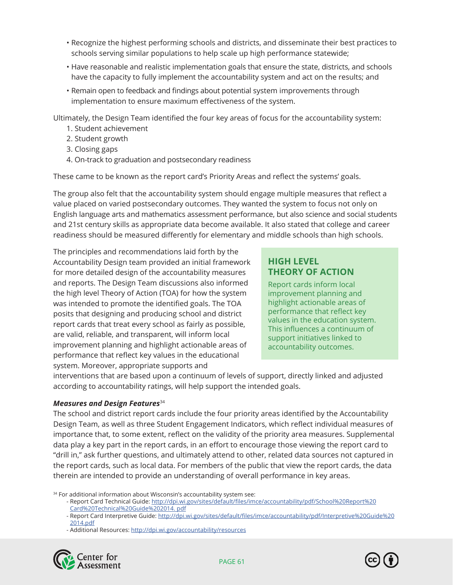- Recognize the highest performing schools and districts, and disseminate their best practices to schools serving similar populations to help scale up high performance statewide;
- Have reasonable and realistic implementation goals that ensure the state, districts, and schools have the capacity to fully implement the accountability system and act on the results; and
- Remain open to feedback and findings about potential system improvements through implementation to ensure maximum effectiveness of the system.

Ultimately, the Design Team identified the four key areas of focus for the accountability system:

- 1. Student achievement
- 2. Student growth
- 3. Closing gaps
- 4. On-track to graduation and postsecondary readiness

These came to be known as the report card's Priority Areas and reflect the systems' goals.

The group also felt that the accountability system should engage multiple measures that reflect a value placed on varied postsecondary outcomes. They wanted the system to focus not only on English language arts and mathematics assessment performance, but also science and social students and 21st century skills as appropriate data become available. It also stated that college and career readiness should be measured differently for elementary and middle schools than high schools.

The principles and recommendations laid forth by the Accountability Design team provided an initial framework for more detailed design of the accountability measures and reports. The Design Team discussions also informed the high level Theory of Action (TOA) for how the system was intended to promote the identified goals. The TOA posits that designing and producing school and district report cards that treat every school as fairly as possible, are valid, reliable, and transparent, will inform local improvement planning and highlight actionable areas of performance that reflect key values in the educational system. Moreover, appropriate supports and

# **HIGH LEVEL THEORY OF ACTION**

Report cards inform local improvement planning and highlight actionable areas of performance that reflect key values in the education system. This influences a continuum of support initiatives linked to accountability outcomes.

interventions that are based upon a continuum of levels of support, directly linked and adjusted according to accountability ratings, will help support the intended goals.

#### *Measures and Design Features*<sup>34</sup>

The school and district report cards include the four priority areas identified by the Accountability Design Team, as well as three Student Engagement Indicators, which reflect individual measures of importance that, to some extent, reflect on the validity of the priority area measures. Supplemental data play a key part in the report cards, in an effort to encourage those viewing the report card to "drill in," ask further questions, and ultimately attend to other, related data sources not captured in the report cards, such as local data. For members of the public that view the report cards, the data therein are intended to provide an understanding of overall performance in key areas.

<sup>34</sup> For additional information about Wisconsin's accountability system see:

- Report Card Technical Guide: [http://dpi.wi.gov/sites/default/files/imce/accountability/pdf/School%20Report%20](http://dpi.wi.gov/sites/default/files/imce/accountability/pdf/School%20Report%20Card%20Technical%20Guide%202014. pdf) [Card%20Technical%20Guide%202014. pdf](http://dpi.wi.gov/sites/default/files/imce/accountability/pdf/School%20Report%20Card%20Technical%20Guide%202014. pdf)
- Report Card Interpretive Guide: [http://dpi.wi.gov/sites/default/files/imce/accountability/pdf/Interpretive%20Guide%20](http://dpi.wi.gov/sites/default/files/imce/accountability/pdf/Interpretive%20Guide%202014.pdf) [2014.pdf](http://dpi.wi.gov/sites/default/files/imce/accountability/pdf/Interpretive%20Guide%202014.pdf)
- Additional Resources:<http://dpi.wi.gov/accountability/resources>



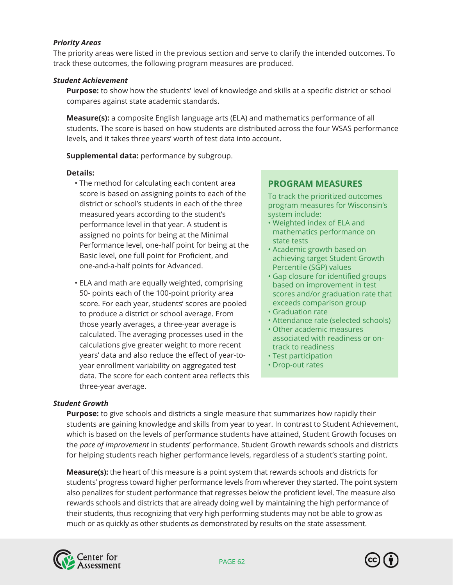#### *Priority Areas*

The priority areas were listed in the previous section and serve to clarify the intended outcomes. To track these outcomes, the following program measures are produced.

#### *Student Achievement*

 **Purpose:** to show how the students' level of knowledge and skills at a specific district or school compares against state academic standards.

 **Measure(s):** a composite English language arts (ELA) and mathematics performance of all students. The score is based on how students are distributed across the four WSAS performance levels, and it takes three years' worth of test data into account.

#### **Supplemental data:** performance by subgroup.

#### **Details:**

- The method for calculating each content area score is based on assigning points to each of the district or school's students in each of the three measured years according to the student's performance level in that year. A student is assigned no points for being at the Minimal Performance level, one-half point for being at the Basic level, one full point for Proficient, and one-and-a-half points for Advanced.
- ELA and math are equally weighted, comprising 50- points each of the 100-point priority area score. For each year, students' scores are pooled to produce a district or school average. From those yearly averages, a three-year average is calculated. The averaging processes used in the calculations give greater weight to more recent years' data and also reduce the effect of year-toyear enrollment variability on aggregated test data. The score for each content area reflects this three-year average.

## **PROGRAM MEASURES**

To track the prioritized outcomes program measures for Wisconsin's system include:

- Weighted index of ELA and mathematics performance on state tests
- Academic growth based on achieving target Student Growth Percentile (SGP) values
- Gap closure for identified groups based on improvement in test scores and/or graduation rate that exceeds comparison group
- Graduation rate
- Attendance rate (selected schools)
- Other academic measures associated with readiness or ontrack to readiness
- Test participation
- Drop-out rates

#### *Student Growth*

 **Purpose:** to give schools and districts a single measure that summarizes how rapidly their students are gaining knowledge and skills from year to year. In contrast to Student Achievement, which is based on the levels of performance students have attained, Student Growth focuses on the *pace of improvement* in students' performance. Student Growth rewards schools and districts for helping students reach higher performance levels, regardless of a student's starting point.

 **Measure(s):** the heart of this measure is a point system that rewards schools and districts for students' progress toward higher performance levels from wherever they started. The point system also penalizes for student performance that regresses below the proficient level. The measure also rewards schools and districts that are already doing well by maintaining the high performance of their students, thus recognizing that very high performing students may not be able to grow as much or as quickly as other students as demonstrated by results on the state assessment.



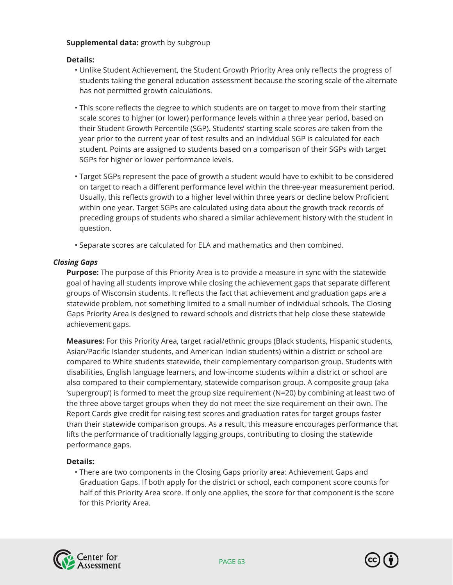#### **Supplemental data:** growth by subgroup

### **Details:**

- Unlike Student Achievement, the Student Growth Priority Area only reflects the progress of students taking the general education assessment because the scoring scale of the alternate has not permitted growth calculations.
- This score reflects the degree to which students are on target to move from their starting scale scores to higher (or lower) performance levels within a three year period, based on their Student Growth Percentile (SGP). Students' starting scale scores are taken from the year prior to the current year of test results and an individual SGP is calculated for each student. Points are assigned to students based on a comparison of their SGPs with target SGPs for higher or lower performance levels.
- Target SGPs represent the pace of growth a student would have to exhibit to be considered on target to reach a different performance level within the three-year measurement period. Usually, this reflects growth to a higher level within three years or decline below Proficient within one year. Target SGPs are calculated using data about the growth track records of preceding groups of students who shared a similar achievement history with the student in question.
- Separate scores are calculated for ELA and mathematics and then combined.

## *Closing Gaps*

 **Purpose:** The purpose of this Priority Area is to provide a measure in sync with the statewide goal of having all students improve while closing the achievement gaps that separate different groups of Wisconsin students. It reflects the fact that achievement and graduation gaps are a statewide problem, not something limited to a small number of individual schools. The Closing Gaps Priority Area is designed to reward schools and districts that help close these statewide achievement gaps.

 **Measures:** For this Priority Area, target racial/ethnic groups (Black students, Hispanic students, Asian/Pacific Islander students, and American Indian students) within a district or school are compared to White students statewide, their complementary comparison group. Students with disabilities, English language learners, and low-income students within a district or school are also compared to their complementary, statewide comparison group. A composite group (aka 'supergroup') is formed to meet the group size requirement (N=20) by combining at least two of the three above target groups when they do not meet the size requirement on their own. The Report Cards give credit for raising test scores and graduation rates for target groups faster than their statewide comparison groups. As a result, this measure encourages performance that lifts the performance of traditionally lagging groups, contributing to closing the statewide performance gaps.

### **Details:**

• There are two components in the Closing Gaps priority area: Achievement Gaps and Graduation Gaps. If both apply for the district or school, each component score counts for half of this Priority Area score. If only one applies, the score for that component is the score for this Priority Area.



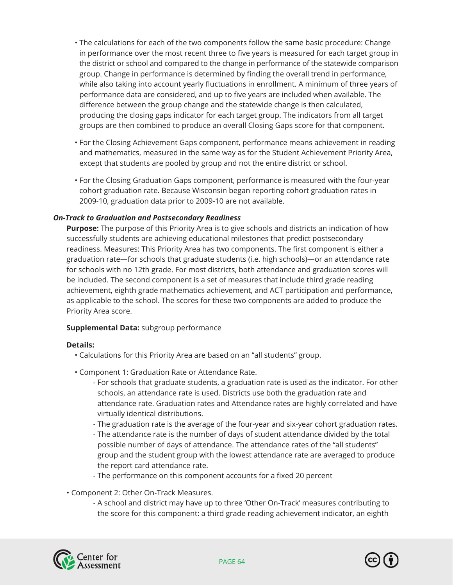- The calculations for each of the two components follow the same basic procedure: Change in performance over the most recent three to five years is measured for each target group in the district or school and compared to the change in performance of the statewide comparison group. Change in performance is determined by finding the overall trend in performance, while also taking into account yearly fluctuations in enrollment. A minimum of three years of performance data are considered, and up to five years are included when available. The difference between the group change and the statewide change is then calculated, producing the closing gaps indicator for each target group. The indicators from all target groups are then combined to produce an overall Closing Gaps score for that component.
- For the Closing Achievement Gaps component, performance means achievement in reading and mathematics, measured in the same way as for the Student Achievement Priority Area, except that students are pooled by group and not the entire district or school.
- For the Closing Graduation Gaps component, performance is measured with the four-year cohort graduation rate. Because Wisconsin began reporting cohort graduation rates in 2009-10, graduation data prior to 2009-10 are not available.

### *On-Track to Graduation and Postsecondary Readiness*

**Purpose:** The purpose of this Priority Area is to give schools and districts an indication of how successfully students are achieving educational milestones that predict postsecondary readiness. Measures: This Priority Area has two components. The first component is either a graduation rate—for schools that graduate students (i.e. high schools)—or an attendance rate for schools with no 12th grade. For most districts, both attendance and graduation scores will be included. The second component is a set of measures that include third grade reading achievement, eighth grade mathematics achievement, and ACT participation and performance, as applicable to the school. The scores for these two components are added to produce the Priority Area score.

#### **Supplemental Data:** subgroup performance

#### **Details:**

- Calculations for this Priority Area are based on an "all students" group.
- Component 1: Graduation Rate or Attendance Rate.
	- For schools that graduate students, a graduation rate is used as the indicator. For other schools, an attendance rate is used. Districts use both the graduation rate and attendance rate. Graduation rates and Attendance rates are highly correlated and have virtually identical distributions.
	- The graduation rate is the average of the four-year and six-year cohort graduation rates.
	- The attendance rate is the number of days of student attendance divided by the total possible number of days of attendance. The attendance rates of the "all students" group and the student group with the lowest attendance rate are averaged to produce the report card attendance rate.
	- The performance on this component accounts for a fixed 20 percent
- Component 2: Other On-Track Measures.
	- A school and district may have up to three 'Other On-Track' measures contributing to the score for this component: a third grade reading achievement indicator, an eighth



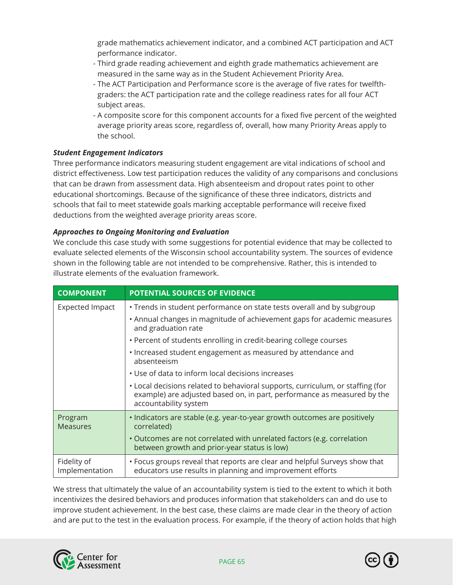grade mathematics achievement indicator, and a combined ACT participation and ACT performance indicator.

- Third grade reading achievement and eighth grade mathematics achievement are measured in the same way as in the Student Achievement Priority Area.
- The ACT Participation and Performance score is the average of five rates for twelfthgraders: the ACT participation rate and the college readiness rates for all four ACT subject areas.
- A composite score for this component accounts for a fixed five percent of the weighted average priority areas score, regardless of, overall, how many Priority Areas apply to the school.

## *Student Engagement Indicators*

Three performance indicators measuring student engagement are vital indications of school and district effectiveness. Low test participation reduces the validity of any comparisons and conclusions that can be drawn from assessment data. High absenteeism and dropout rates point to other educational shortcomings. Because of the significance of these three indicators, districts and schools that fail to meet statewide goals marking acceptable performance will receive fixed deductions from the weighted average priority areas score.

## *Approaches to Ongoing Monitoring and Evaluation*

We conclude this case study with some suggestions for potential evidence that may be collected to evaluate selected elements of the Wisconsin school accountability system. The sources of evidence shown in the following table are not intended to be comprehensive. Rather, this is intended to illustrate elements of the evaluation framework.

| <b>COMPONENT</b>              | <b>POTENTIAL SOURCES OF EVIDENCE</b>                                                                                                                                               |
|-------------------------------|------------------------------------------------------------------------------------------------------------------------------------------------------------------------------------|
| <b>Expected Impact</b>        | • Trends in student performance on state tests overall and by subgroup                                                                                                             |
|                               | • Annual changes in magnitude of achievement gaps for academic measures<br>and graduation rate                                                                                     |
|                               | • Percent of students enrolling in credit-bearing college courses                                                                                                                  |
|                               | . Increased student engagement as measured by attendance and<br>absenteeism                                                                                                        |
|                               | • Use of data to inform local decisions increases                                                                                                                                  |
|                               | . Local decisions related to behavioral supports, curriculum, or staffing (for<br>example) are adjusted based on, in part, performance as measured by the<br>accountability system |
| Program<br><b>Measures</b>    | · Indicators are stable (e.g. year-to-year growth outcomes are positively<br>correlated)                                                                                           |
|                               | • Outcomes are not correlated with unrelated factors (e.g. correlation<br>between growth and prior-year status is low)                                                             |
| Fidelity of<br>Implementation | • Focus groups reveal that reports are clear and helpful Surveys show that<br>educators use results in planning and improvement efforts                                            |

We stress that ultimately the value of an accountability system is tied to the extent to which it both incentivizes the desired behaviors and produces information that stakeholders can and do use to improve student achievement. In the best case, these claims are made clear in the theory of action and are put to the test in the evaluation process. For example, if the theory of action holds that high



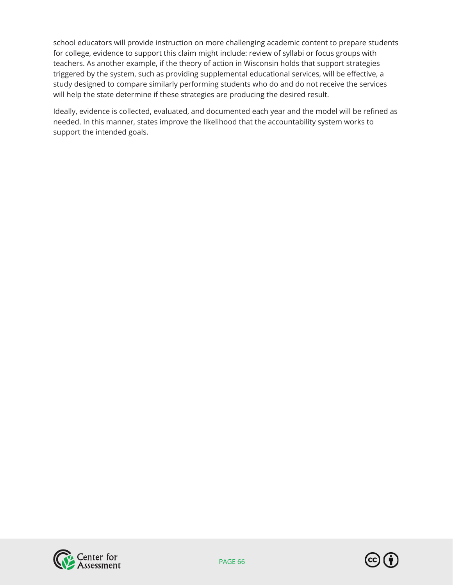school educators will provide instruction on more challenging academic content to prepare students for college, evidence to support this claim might include: review of syllabi or focus groups with teachers. As another example, if the theory of action in Wisconsin holds that support strategies triggered by the system, such as providing supplemental educational services, will be effective, a study designed to compare similarly performing students who do and do not receive the services will help the state determine if these strategies are producing the desired result.

Ideally, evidence is collected, evaluated, and documented each year and the model will be refined as needed. In this manner, states improve the likelihood that the accountability system works to support the intended goals.



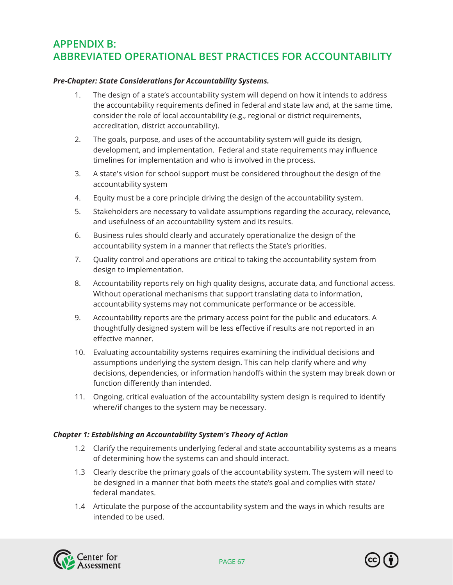# **APPENDIX B: ABBREVIATED OPERATIONAL BEST PRACTICES FOR ACCOUNTABILITY**

### *Pre-Chapter: State Considerations for Accountability Systems.*

- 1. The design of a state's accountability system will depend on how it intends to address the accountability requirements defined in federal and state law and, at the same time, consider the role of local accountability (e.g., regional or district requirements, accreditation, district accountability).
- 2. The goals, purpose, and uses of the accountability system will guide its design, development, and implementation. Federal and state requirements may influence timelines for implementation and who is involved in the process.
- 3. A state's vision for school support must be considered throughout the design of the accountability system
- 4. Equity must be a core principle driving the design of the accountability system.
- 5. Stakeholders are necessary to validate assumptions regarding the accuracy, relevance, and usefulness of an accountability system and its results.
- 6. Business rules should clearly and accurately operationalize the design of the accountability system in a manner that reflects the State's priorities.
- 7. Quality control and operations are critical to taking the accountability system from design to implementation.
- 8. Accountability reports rely on high quality designs, accurate data, and functional access. Without operational mechanisms that support translating data to information, accountability systems may not communicate performance or be accessible.
- 9. Accountability reports are the primary access point for the public and educators. A thoughtfully designed system will be less effective if results are not reported in an effective manner.
- 10. Evaluating accountability systems requires examining the individual decisions and assumptions underlying the system design. This can help clarify where and why decisions, dependencies, or information handoffs within the system may break down or function differently than intended.
- 11. Ongoing, critical evaluation of the accountability system design is required to identify where/if changes to the system may be necessary.

### *Chapter 1: Establishing an Accountability System's Theory of Action*

- 1.2 Clarify the requirements underlying federal and state accountability systems as a means of determining how the systems can and should interact.
- 1.3 Clearly describe the primary goals of the accountability system. The system will need to be designed in a manner that both meets the state's goal and complies with state/ federal mandates.
- 1.4 Articulate the purpose of the accountability system and the ways in which results are intended to be used.



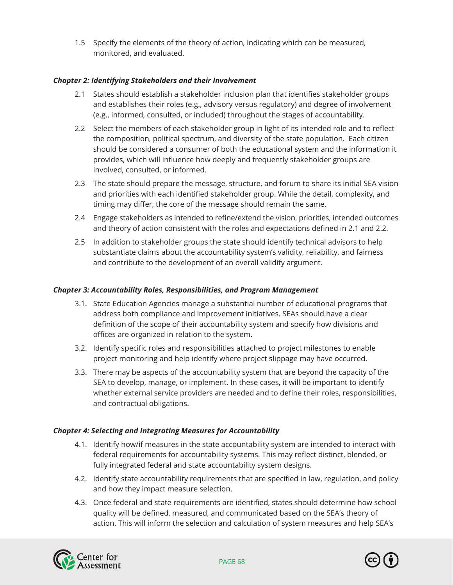1.5 Specify the elements of the theory of action, indicating which can be measured, monitored, and evaluated.

### *Chapter 2: Identifying Stakeholders and their Involvement*

- 2.1 States should establish a stakeholder inclusion plan that identifies stakeholder groups and establishes their roles (e.g., advisory versus regulatory) and degree of involvement (e.g., informed, consulted, or included) throughout the stages of accountability.
- 2.2 Select the members of each stakeholder group in light of its intended role and to reflect the composition, political spectrum, and diversity of the state population. Each citizen should be considered a consumer of both the educational system and the information it provides, which will influence how deeply and frequently stakeholder groups are involved, consulted, or informed.
- 2.3 The state should prepare the message, structure, and forum to share its initial SEA vision and priorities with each identified stakeholder group. While the detail, complexity, and timing may differ, the core of the message should remain the same.
- 2.4 Engage stakeholders as intended to refine/extend the vision, priorities, intended outcomes and theory of action consistent with the roles and expectations defined in 2.1 and 2.2.
- 2.5 In addition to stakeholder groups the state should identify technical advisors to help substantiate claims about the accountability system's validity, reliability, and fairness and contribute to the development of an overall validity argument.

## *Chapter 3: Accountability Roles, Responsibilities, and Program Management*

- 3.1. State Education Agencies manage a substantial number of educational programs that address both compliance and improvement initiatives. SEAs should have a clear definition of the scope of their accountability system and specify how divisions and offices are organized in relation to the system.
- 3.2. Identify specific roles and responsibilities attached to project milestones to enable project monitoring and help identify where project slippage may have occurred.
- 3.3. There may be aspects of the accountability system that are beyond the capacity of the SEA to develop, manage, or implement. In these cases, it will be important to identify whether external service providers are needed and to define their roles, responsibilities, and contractual obligations.

## *Chapter 4: Selecting and Integrating Measures for Accountability*

- 4.1. Identify how/if measures in the state accountability system are intended to interact with federal requirements for accountability systems. This may reflect distinct, blended, or fully integrated federal and state accountability system designs.
- 4.2. Identify state accountability requirements that are specified in law, regulation, and policy and how they impact measure selection.
- 4.3. Once federal and state requirements are identified, states should determine how school quality will be defined, measured, and communicated based on the SEA's theory of action. This will inform the selection and calculation of system measures and help SEA's



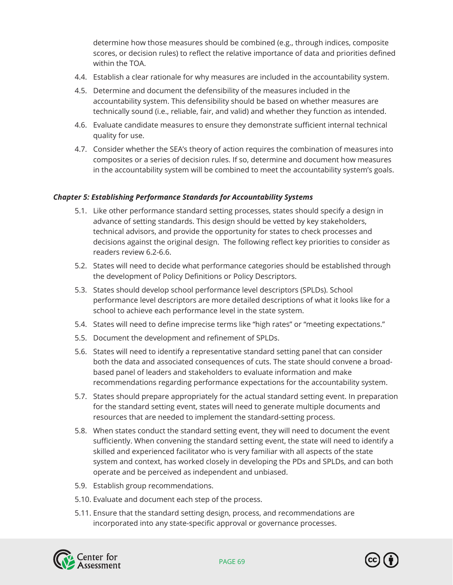determine how those measures should be combined (e.g., through indices, composite scores, or decision rules) to reflect the relative importance of data and priorities defined within the TOA.

- 4.4. Establish a clear rationale for why measures are included in the accountability system.
- 4.5. Determine and document the defensibility of the measures included in the accountability system. This defensibility should be based on whether measures are technically sound (i.e., reliable, fair, and valid) and whether they function as intended.
- 4.6. Evaluate candidate measures to ensure they demonstrate sufficient internal technical quality for use.
- 4.7. Consider whether the SEA's theory of action requires the combination of measures into composites or a series of decision rules. If so, determine and document how measures in the accountability system will be combined to meet the accountability system's goals.

#### *Chapter 5: Establishing Performance Standards for Accountability Systems*

- 5.1. Like other performance standard setting processes, states should specify a design in advance of setting standards. This design should be vetted by key stakeholders, technical advisors, and provide the opportunity for states to check processes and decisions against the original design. The following reflect key priorities to consider as readers review 6.2-6.6.
- 5.2. States will need to decide what performance categories should be established through the development of Policy Definitions or Policy Descriptors.
- 5.3. States should develop school performance level descriptors (SPLDs). School performance level descriptors are more detailed descriptions of what it looks like for a school to achieve each performance level in the state system.
- 5.4. States will need to define imprecise terms like "high rates" or "meeting expectations."
- 5.5. Document the development and refinement of SPLDs.
- 5.6. States will need to identify a representative standard setting panel that can consider both the data and associated consequences of cuts. The state should convene a broadbased panel of leaders and stakeholders to evaluate information and make recommendations regarding performance expectations for the accountability system.
- 5.7. States should prepare appropriately for the actual standard setting event. In preparation for the standard setting event, states will need to generate multiple documents and resources that are needed to implement the standard-setting process.
- 5.8. When states conduct the standard setting event, they will need to document the event sufficiently. When convening the standard setting event, the state will need to identify a skilled and experienced facilitator who is very familiar with all aspects of the state system and context, has worked closely in developing the PDs and SPLDs, and can both operate and be perceived as independent and unbiased.
- 5.9. Establish group recommendations.
- 5.10. Evaluate and document each step of the process.
- 5.11. Ensure that the standard setting design, process, and recommendations are incorporated into any state-specific approval or governance processes.



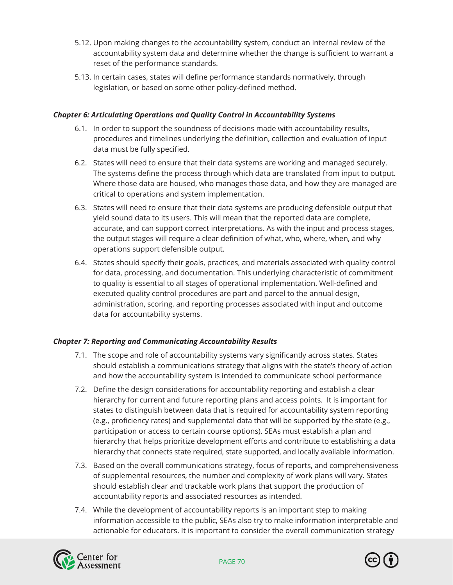- 5.12. Upon making changes to the accountability system, conduct an internal review of the accountability system data and determine whether the change is sufficient to warrant a reset of the performance standards.
- 5.13. In certain cases, states will define performance standards normatively, through legislation, or based on some other policy-defined method.

### *Chapter 6: Articulating Operations and Quality Control in Accountability Systems*

- 6.1. In order to support the soundness of decisions made with accountability results, procedures and timelines underlying the definition, collection and evaluation of input data must be fully specified.
- 6.2. States will need to ensure that their data systems are working and managed securely. The systems define the process through which data are translated from input to output. Where those data are housed, who manages those data, and how they are managed are critical to operations and system implementation.
- 6.3. States will need to ensure that their data systems are producing defensible output that yield sound data to its users. This will mean that the reported data are complete, accurate, and can support correct interpretations. As with the input and process stages, the output stages will require a clear definition of what, who, where, when, and why operations support defensible output.
- 6.4. States should specify their goals, practices, and materials associated with quality control for data, processing, and documentation. This underlying characteristic of commitment to quality is essential to all stages of operational implementation. Well-defined and executed quality control procedures are part and parcel to the annual design, administration, scoring, and reporting processes associated with input and outcome data for accountability systems.

## *Chapter 7: Reporting and Communicating Accountability Results*

- 7.1. The scope and role of accountability systems vary significantly across states. States should establish a communications strategy that aligns with the state's theory of action and how the accountability system is intended to communicate school performance
- 7.2. Define the design considerations for accountability reporting and establish a clear hierarchy for current and future reporting plans and access points. It is important for states to distinguish between data that is required for accountability system reporting (e.g., proficiency rates) and supplemental data that will be supported by the state (e.g., participation or access to certain course options). SEAs must establish a plan and hierarchy that helps prioritize development efforts and contribute to establishing a data hierarchy that connects state required, state supported, and locally available information.
- 7.3. Based on the overall communications strategy, focus of reports, and comprehensiveness of supplemental resources, the number and complexity of work plans will vary. States should establish clear and trackable work plans that support the production of accountability reports and associated resources as intended.
- 7.4. While the development of accountability reports is an important step to making information accessible to the public, SEAs also try to make information interpretable and actionable for educators. It is important to consider the overall communication strategy



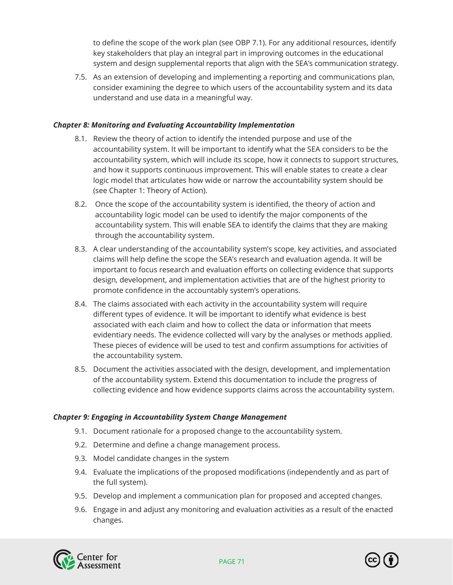to define the scope of the work plan (see OBP 7.1). For any additional resources, identify key stakeholders that play an integral part in improving outcomes in the educational system and design supplemental reports that align with the SEA's communication strategy.

 7.5. As an extension of developing and implementing a reporting and communications plan, consider examining the degree to which users of the accountability system and its data understand and use data in a meaningful way.

### *Chapter 8: Monitoring and Evaluating Accountability Implementation*

- 8.1. Review the theory of action to identify the intended purpose and use of the accountability system. It will be important to identify what the SEA considers to be the accountability system, which will include its scope, how it connects to support structures, and how it supports continuous improvement. This will enable states to create a clear logic model that articulates how wide or narrow the accountability system should be (see Chapter 1: Theory of Action).
- 8.2. Once the scope of the accountability system is identified, the theory of action and accountability logic model can be used to identify the major components of the accountability system. This will enable SEA to identify the claims that they are making through the accountability system.
- 8.3. A clear understanding of the accountability system's scope, key activities, and associated claims will help define the scope the SEA's research and evaluation agenda. It will be important to focus research and evaluation efforts on collecting evidence that supports design, development, and implementation activities that are of the highest priority to promote confidence in the accountably system's operations.
- 8.4. The claims associated with each activity in the accountability system will require different types of evidence. It will be important to identify what evidence is best associated with each claim and how to collect the data or information that meets evidentiary needs. The evidence collected will vary by the analyses or methods applied. These pieces of evidence will be used to test and confirm assumptions for activities of the accountability system.
- 8.5. Document the activities associated with the design, development, and implementation of the accountability system. Extend this documentation to include the progress of collecting evidence and how evidence supports claims across the accountability system.

## *Chapter 9: Engaging in Accountability System Change Management*

- 9.1. Document rationale for a proposed change to the accountability system.
- 9.2. Determine and define a change management process.
- 9.3. Model candidate changes in the system
- 9.4. Evaluate the implications of the proposed modifications (independently and as part of the full system).
- 9.5. Develop and implement a communication plan for proposed and accepted changes.
- 9.6. Engage in and adjust any monitoring and evaluation activities as a result of the enacted changes.